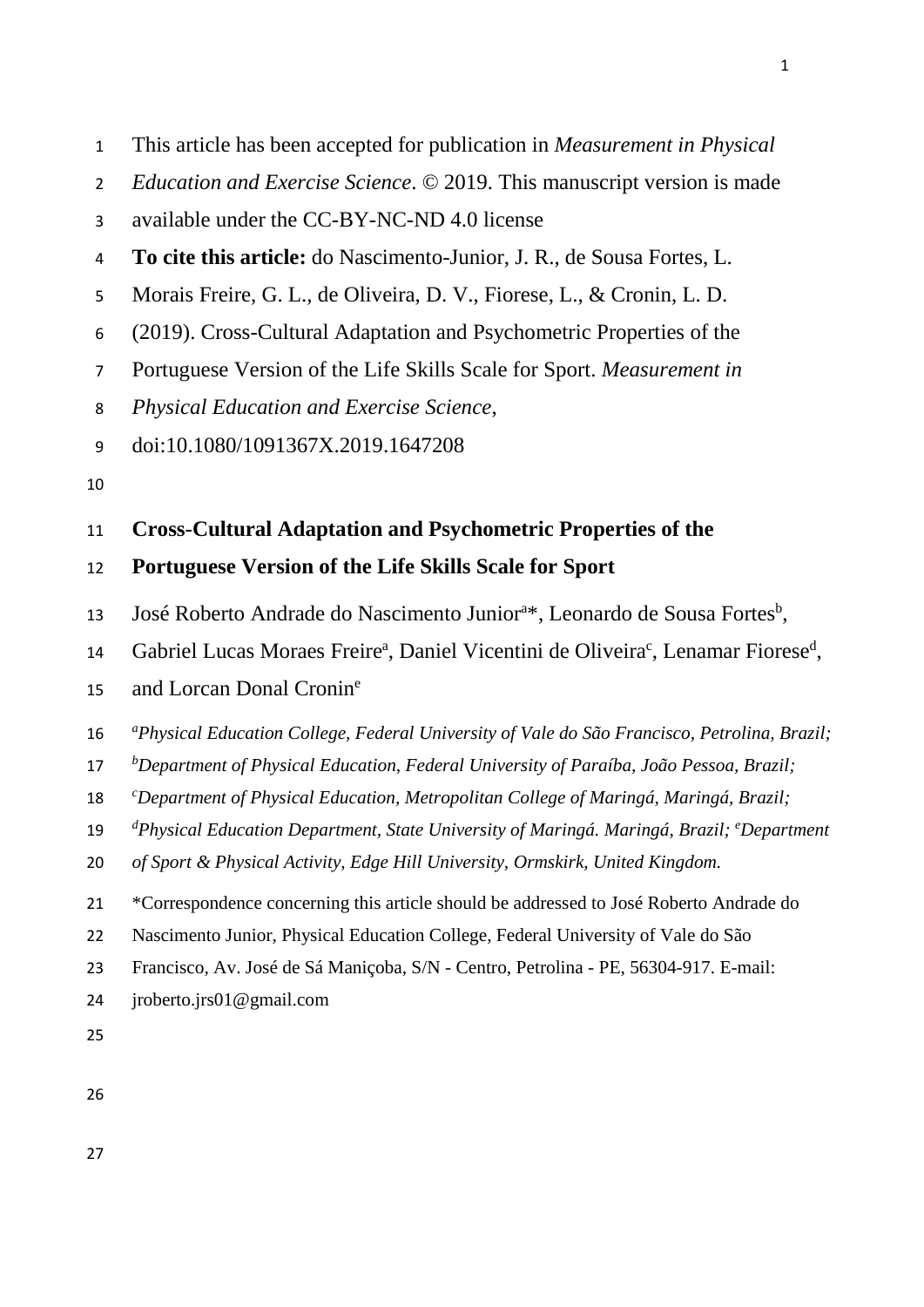- This article has been accepted for publication in *Measurement in Physical*
- *Education and Exercise Science*. © 2019. This manuscript version is made
- available under the CC-BY-NC-ND 4.0 license
- **To cite this article:** do Nascimento-Junior, J. R., de Sousa Fortes, L.
- Morais Freire, G. L., de Oliveira, D. V., Fiorese, L., & Cronin, L. D.
- (2019). Cross-Cultural Adaptation and Psychometric Properties of the
- Portuguese Version of the Life Skills Scale for Sport. *Measurement in*
- *Physical Education and Exercise Science*,
- doi:10.1080/1091367X.2019.1647208
- 

# **Cross-Cultural Adaptation and Psychometric Properties of the**

### **Portuguese Version of the Life Skills Scale for Sport**

- 13 José Roberto Andrade do Nascimento Junior<sup>a\*</sup>, Leonardo de Sousa Fortes<sup>b</sup>,
- 14 Gabriel Lucas Moraes Freire<sup>a</sup>, Daniel Vicentini de Oliveira<sup>c</sup>, Lenamar Fiorese<sup>d</sup>,
- 15 and Lorcan Donal Cronin<sup>e</sup>
- *<sup>a</sup> Physical Education College, Federal University of Vale do São Francisco, Petrolina, Brazil;*
- *<sup>b</sup> Department of Physical Education, Federal University of Paraíba, João Pessoa, Brazil;*
- *<sup>c</sup> Department of Physical Education, Metropolitan College of Maringá, Maringá, Brazil;*
- 19 <sup>d</sup>Physical Education Department, State University of Maringá. Maringá, Brazil; <sup>e</sup>Department
- *of Sport & Physical Activity, Edge Hill University, Ormskirk, United Kingdom.*
- \*Correspondence concerning this article should be addressed to José Roberto Andrade do
- Nascimento Junior, Physical Education College, Federal University of Vale do São
- Francisco, Av. José de Sá Maniçoba, S/N Centro, Petrolina PE, 56304-917. E-mail:
- jroberto.jrs01@gmail.com
-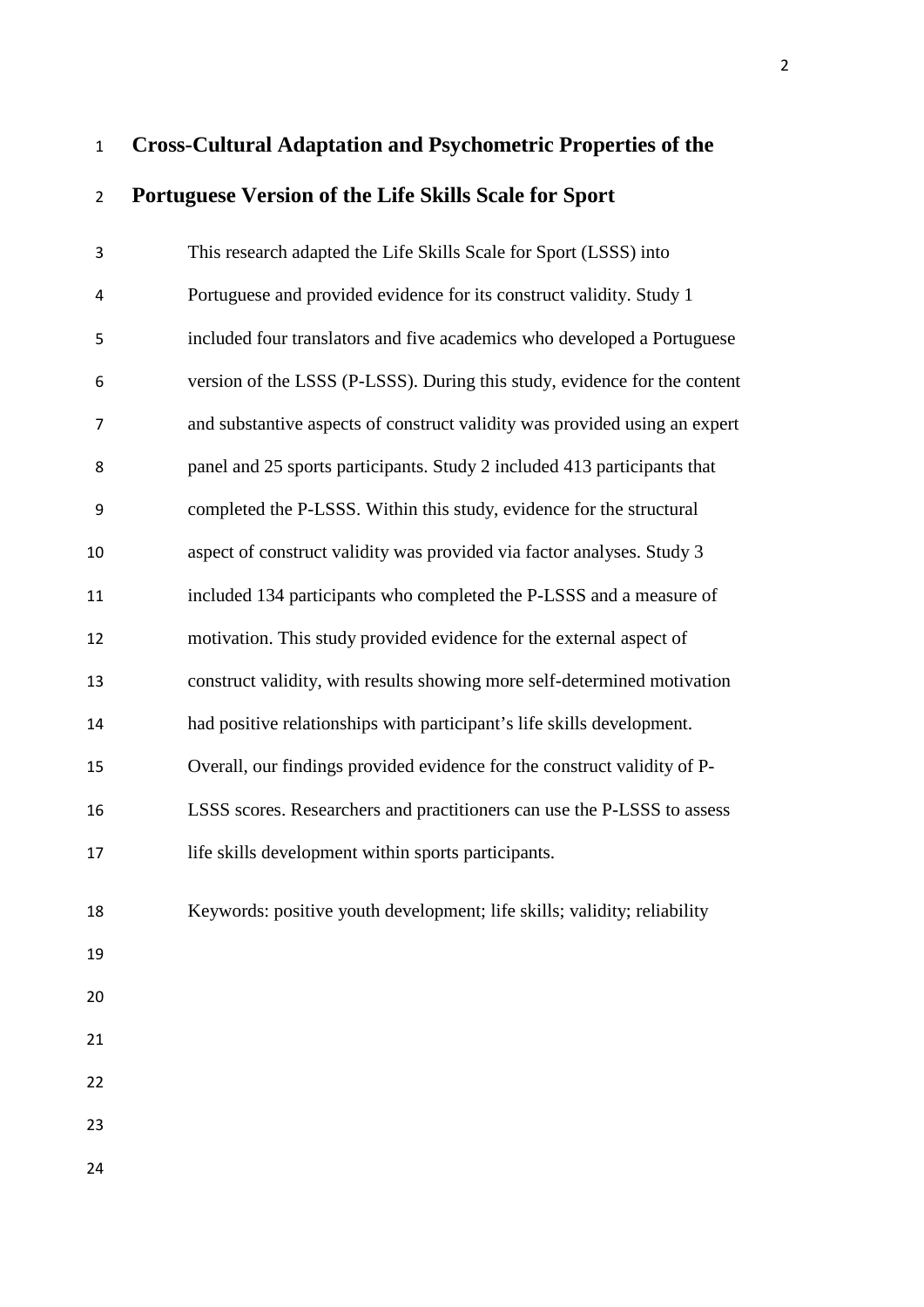# **Cross-Cultural Adaptation and Psychometric Properties of the Portuguese Version of the Life Skills Scale for Sport**

| 3              | This research adapted the Life Skills Scale for Sport (LSSS) into          |
|----------------|----------------------------------------------------------------------------|
| 4              | Portuguese and provided evidence for its construct validity. Study 1       |
| 5              | included four translators and five academics who developed a Portuguese    |
| 6              | version of the LSSS (P-LSSS). During this study, evidence for the content  |
| $\overline{7}$ | and substantive aspects of construct validity was provided using an expert |
| 8              | panel and 25 sports participants. Study 2 included 413 participants that   |
| 9              | completed the P-LSSS. Within this study, evidence for the structural       |
| 10             | aspect of construct validity was provided via factor analyses. Study 3     |
| 11             | included 134 participants who completed the P-LSSS and a measure of        |
| 12             | motivation. This study provided evidence for the external aspect of        |
| 13             | construct validity, with results showing more self-determined motivation   |
| 14             | had positive relationships with participant's life skills development.     |
| 15             | Overall, our findings provided evidence for the construct validity of P-   |
| 16             | LSSS scores. Researchers and practitioners can use the P-LSSS to assess    |
| 17             | life skills development within sports participants.                        |
| 18             | Keywords: positive youth development; life skills; validity; reliability   |
| 19             |                                                                            |
| 20             |                                                                            |
| 21             |                                                                            |
| 22             |                                                                            |
| 23             |                                                                            |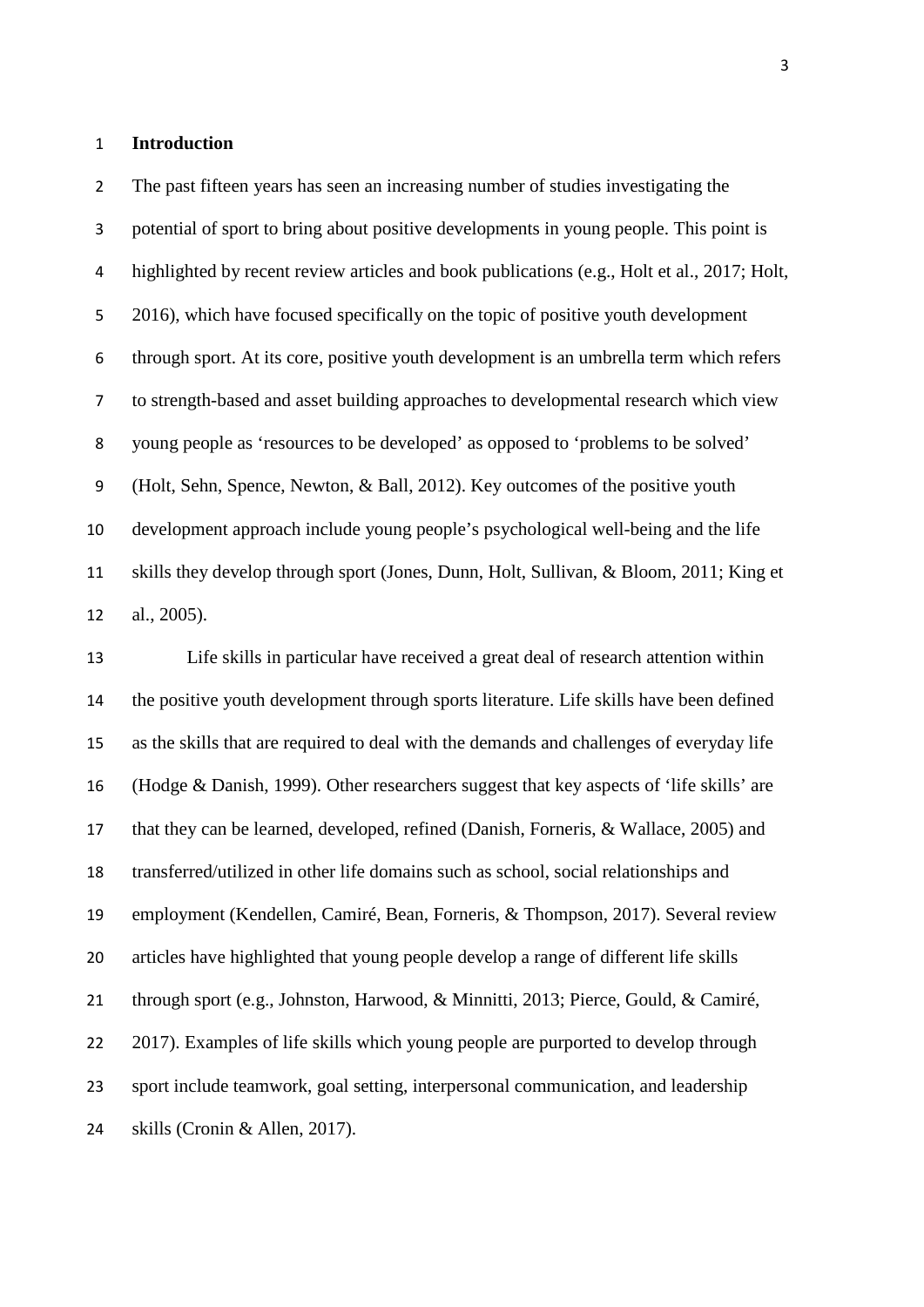#### **Introduction**

 The past fifteen years has seen an increasing number of studies investigating the potential of sport to bring about positive developments in young people. This point is 4 highlighted by recent review articles and book publications (e.g., Holt et al., 2017; Holt, 2016), which have focused specifically on the topic of positive youth development through sport. At its core, positive youth development is an umbrella term which refers to strength-based and asset building approaches to developmental research which view young people as 'resources to be developed' as opposed to 'problems to be solved' (Holt, Sehn, Spence, Newton, & Ball, 2012). Key outcomes of the positive youth development approach include young people's psychological well-being and the life skills they develop through sport (Jones, Dunn, Holt, Sullivan, & Bloom, 2011; King et al., 2005).

 Life skills in particular have received a great deal of research attention within the positive youth development through sports literature. Life skills have been defined as the skills that are required to deal with the demands and challenges of everyday life (Hodge & Danish, 1999). Other researchers suggest that key aspects of 'life skills' are that they can be learned, developed, refined (Danish, Forneris, & Wallace, 2005) and transferred/utilized in other life domains such as school, social relationships and employment (Kendellen, Camiré, Bean, Forneris, & Thompson, 2017). Several review articles have highlighted that young people develop a range of different life skills through sport (e.g., Johnston, Harwood, & Minnitti, 2013; Pierce, Gould, & Camiré, 22 2017). Examples of life skills which young people are purported to develop through sport include teamwork, goal setting, interpersonal communication, and leadership skills (Cronin & Allen, 2017).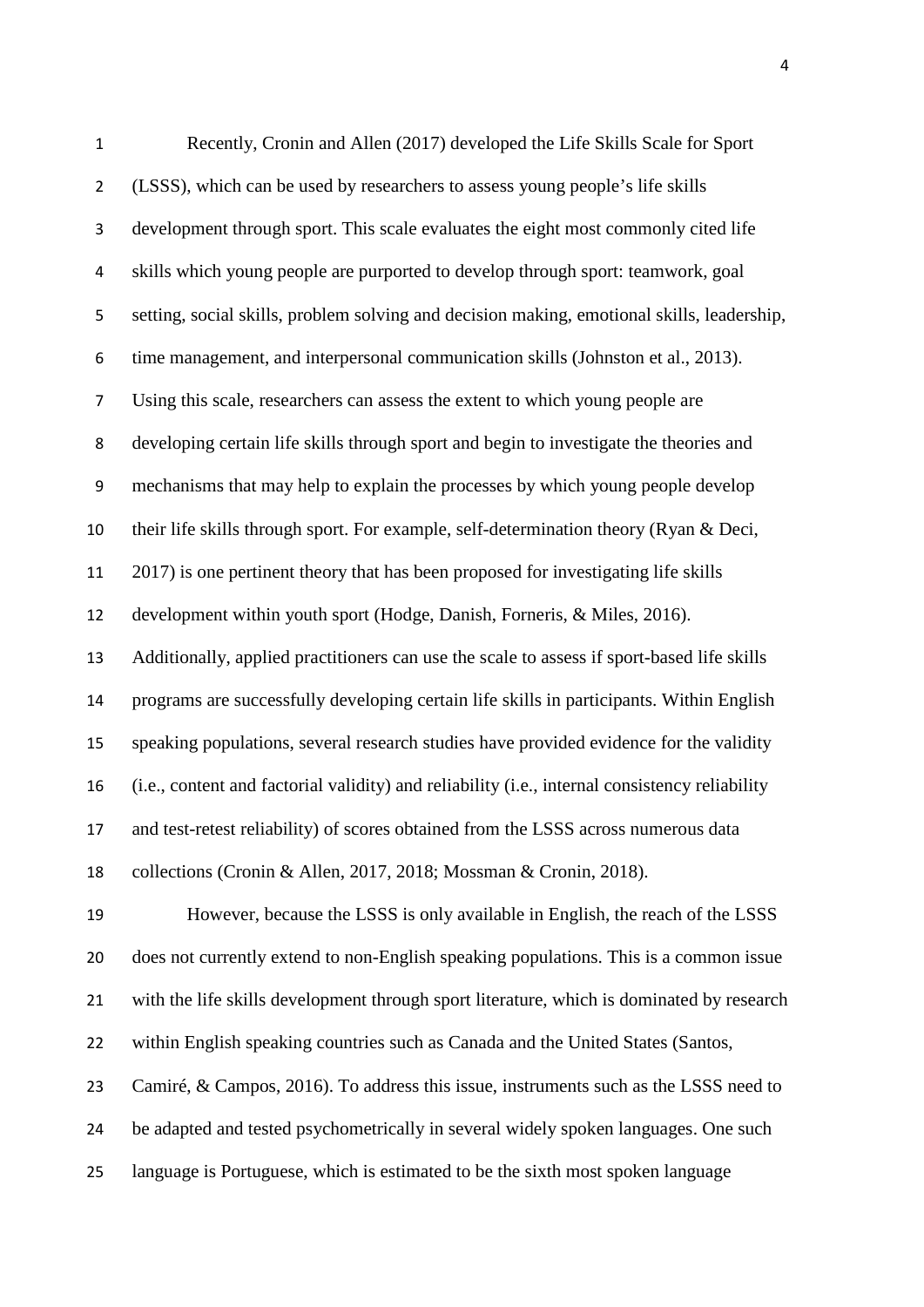| $\mathbf 1$    | Recently, Cronin and Allen (2017) developed the Life Skills Scale for Sport                    |
|----------------|------------------------------------------------------------------------------------------------|
| $\overline{2}$ | (LSSS), which can be used by researchers to assess young people's life skills                  |
| 3              | development through sport. This scale evaluates the eight most commonly cited life             |
| 4              | skills which young people are purported to develop through sport: teamwork, goal               |
| 5              | setting, social skills, problem solving and decision making, emotional skills, leadership,     |
| 6              | time management, and interpersonal communication skills (Johnston et al., 2013).               |
| 7              | Using this scale, researchers can assess the extent to which young people are                  |
| 8              | developing certain life skills through sport and begin to investigate the theories and         |
| 9              | mechanisms that may help to explain the processes by which young people develop                |
| 10             | their life skills through sport. For example, self-determination theory (Ryan & Deci,          |
| 11             | 2017) is one pertinent theory that has been proposed for investigating life skills             |
| 12             | development within youth sport (Hodge, Danish, Forneris, & Miles, 2016).                       |
| 13             | Additionally, applied practitioners can use the scale to assess if sport-based life skills     |
| 14             | programs are successfully developing certain life skills in participants. Within English       |
| 15             | speaking populations, several research studies have provided evidence for the validity         |
| 16             | (i.e., content and factorial validity) and reliability (i.e., internal consistency reliability |
| 17             | and test-retest reliability) of scores obtained from the LSSS across numerous data             |
| 18             | collections (Cronin & Allen, 2017, 2018; Mossman & Cronin, 2018).                              |
| 19             | However, because the LSSS is only available in English, the reach of the LSSS                  |
| 20             | does not currently extend to non-English speaking populations. This is a common issue          |
| 21             | with the life skills development through sport literature, which is dominated by research      |
| 22             | within English speaking countries such as Canada and the United States (Santos,                |
| 23             | Camiré, & Campos, 2016). To address this issue, instruments such as the LSSS need to           |
| 24             | be adapted and tested psychometrically in several widely spoken languages. One such            |
| 25             | language is Portuguese, which is estimated to be the sixth most spoken language                |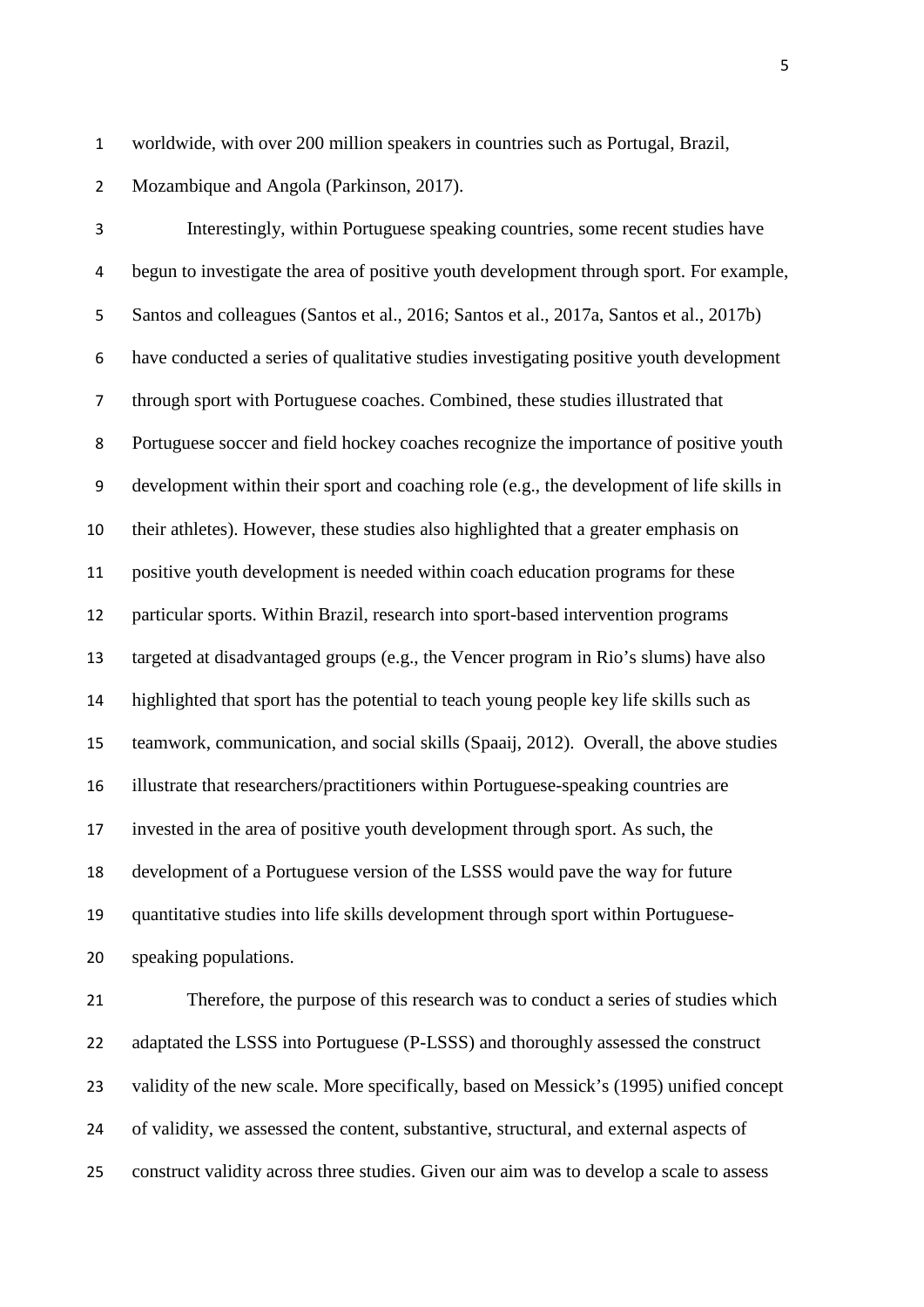worldwide, with over 200 million speakers in countries such as Portugal, Brazil,

Mozambique and Angola (Parkinson, 2017).

 Interestingly, within Portuguese speaking countries, some recent studies have begun to investigate the area of positive youth development through sport. For example, Santos and colleagues (Santos et al., 2016; Santos et al., 2017a, Santos et al., 2017b) have conducted a series of qualitative studies investigating positive youth development through sport with Portuguese coaches. Combined, these studies illustrated that Portuguese soccer and field hockey coaches recognize the importance of positive youth development within their sport and coaching role (e.g., the development of life skills in their athletes). However, these studies also highlighted that a greater emphasis on positive youth development is needed within coach education programs for these particular sports. Within Brazil, research into sport-based intervention programs targeted at disadvantaged groups (e.g., the Vencer program in Rio's slums) have also highlighted that sport has the potential to teach young people key life skills such as teamwork, communication, and social skills (Spaaij, 2012). Overall, the above studies illustrate that researchers/practitioners within Portuguese-speaking countries are invested in the area of positive youth development through sport. As such, the development of a Portuguese version of the LSSS would pave the way for future quantitative studies into life skills development through sport within Portuguese-speaking populations.

 Therefore, the purpose of this research was to conduct a series of studies which adaptated the LSSS into Portuguese (P-LSSS) and thoroughly assessed the construct validity of the new scale. More specifically, based on Messick's (1995) unified concept of validity, we assessed the content, substantive, structural, and external aspects of construct validity across three studies. Given our aim was to develop a scale to assess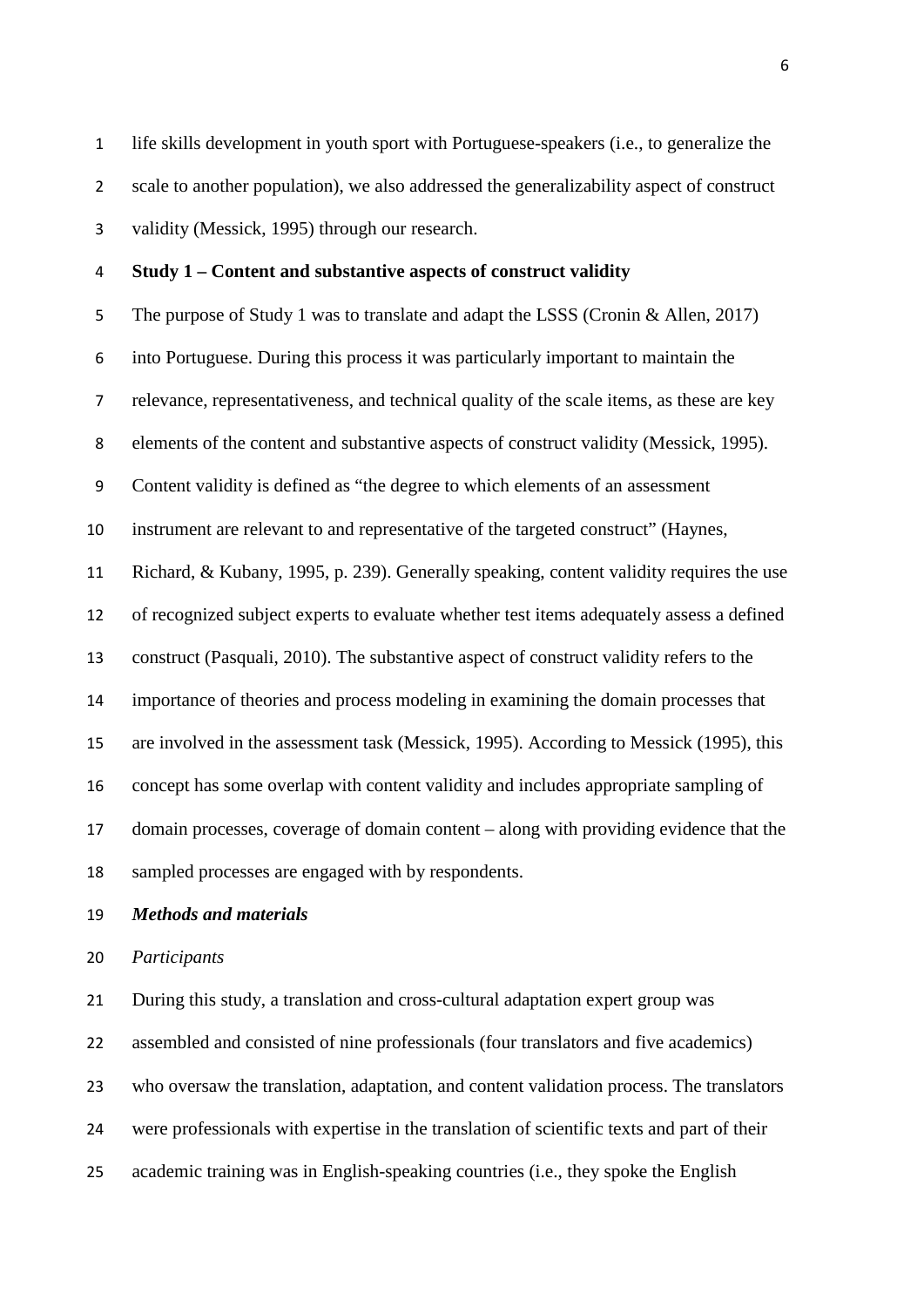life skills development in youth sport with Portuguese-speakers (i.e., to generalize the scale to another population), we also addressed the generalizability aspect of construct validity (Messick, 1995) through our research.

 **Study 1 – Content and substantive aspects of construct validity** The purpose of Study 1 was to translate and adapt the LSSS (Cronin & Allen, 2017) into Portuguese. During this process it was particularly important to maintain the relevance, representativeness, and technical quality of the scale items, as these are key elements of the content and substantive aspects of construct validity (Messick, 1995). Content validity is defined as "the degree to which elements of an assessment instrument are relevant to and representative of the targeted construct" (Haynes, Richard, & Kubany, 1995, p. 239). Generally speaking, content validity requires the use of recognized subject experts to evaluate whether test items adequately assess a defined construct (Pasquali, 2010). The substantive aspect of construct validity refers to the importance of theories and process modeling in examining the domain processes that are involved in the assessment task (Messick, 1995). According to Messick (1995), this concept has some overlap with content validity and includes appropriate sampling of domain processes, coverage of domain content – along with providing evidence that the sampled processes are engaged with by respondents.

*Methods and materials*

*Participants* 

 During this study, a translation and cross-cultural adaptation expert group was assembled and consisted of nine professionals (four translators and five academics) who oversaw the translation, adaptation, and content validation process. The translators were professionals with expertise in the translation of scientific texts and part of their academic training was in English-speaking countries (i.e., they spoke the English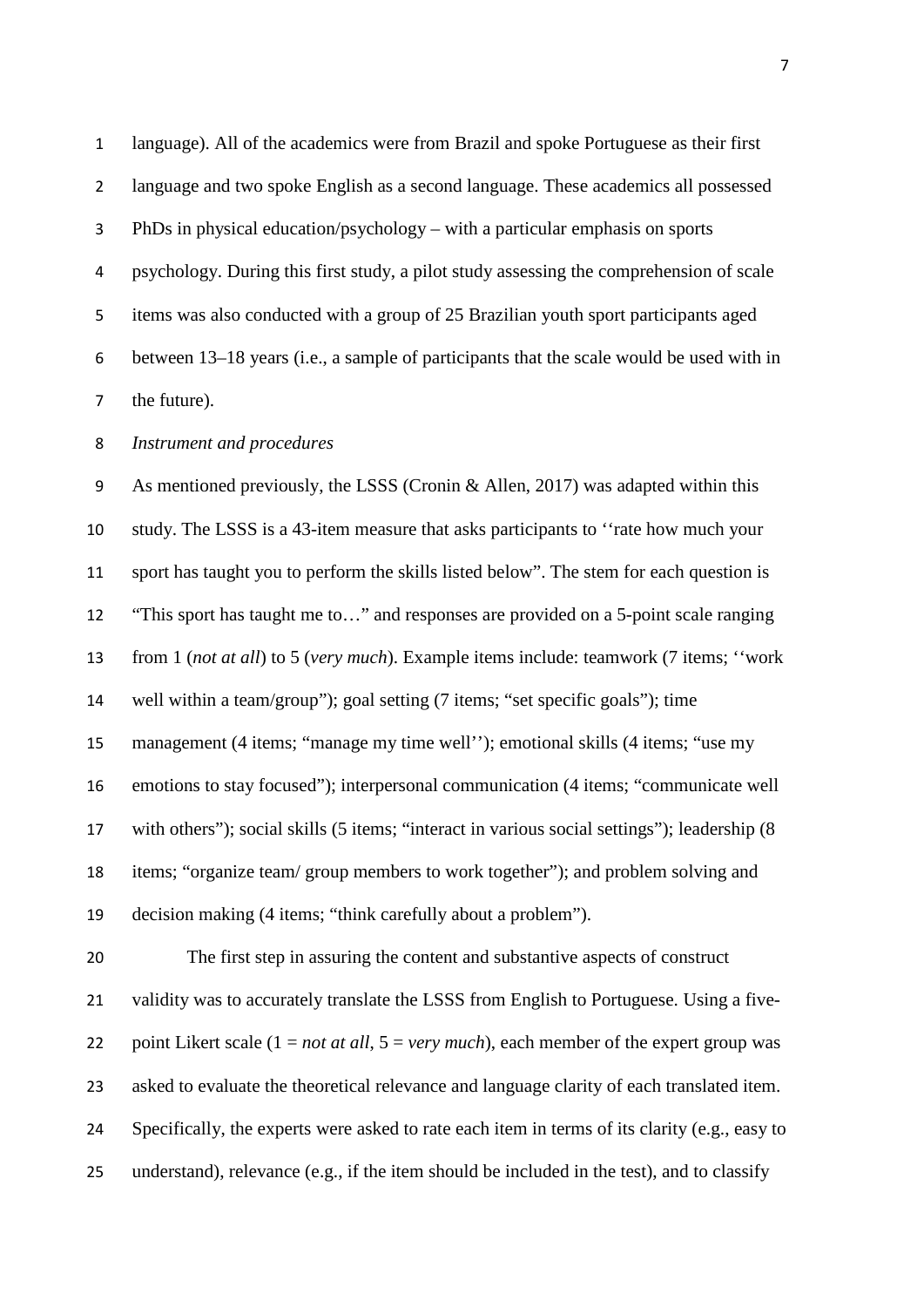language). All of the academics were from Brazil and spoke Portuguese as their first language and two spoke English as a second language. These academics all possessed PhDs in physical education/psychology – with a particular emphasis on sports psychology. During this first study, a pilot study assessing the comprehension of scale items was also conducted with a group of 25 Brazilian youth sport participants aged between 13–18 years (i.e., a sample of participants that the scale would be used with in the future).

#### *Instrument and procedures*

 As mentioned previously, the LSSS (Cronin & Allen, 2017) was adapted within this study. The LSSS is a 43-item measure that asks participants to ''rate how much your sport has taught you to perform the skills listed below". The stem for each question is "This sport has taught me to…" and responses are provided on a 5-point scale ranging from 1 (*not at all*) to 5 (*very much*). Example items include: teamwork (7 items; ''work well within a team/group"); goal setting (7 items; "set specific goals"); time management (4 items; "manage my time well''); emotional skills (4 items; "use my emotions to stay focused"); interpersonal communication (4 items; "communicate well with others"); social skills (5 items; "interact in various social settings"); leadership (8 items; "organize team/ group members to work together"); and problem solving and decision making (4 items; "think carefully about a problem").

 The first step in assuring the content and substantive aspects of construct 21 validity was to accurately translate the LSSS from English to Portuguese. Using a five- point Likert scale (1 = *not at all*, 5 = *very much*), each member of the expert group was asked to evaluate the theoretical relevance and language clarity of each translated item. Specifically, the experts were asked to rate each item in terms of its clarity (e.g., easy to understand), relevance (e.g., if the item should be included in the test), and to classify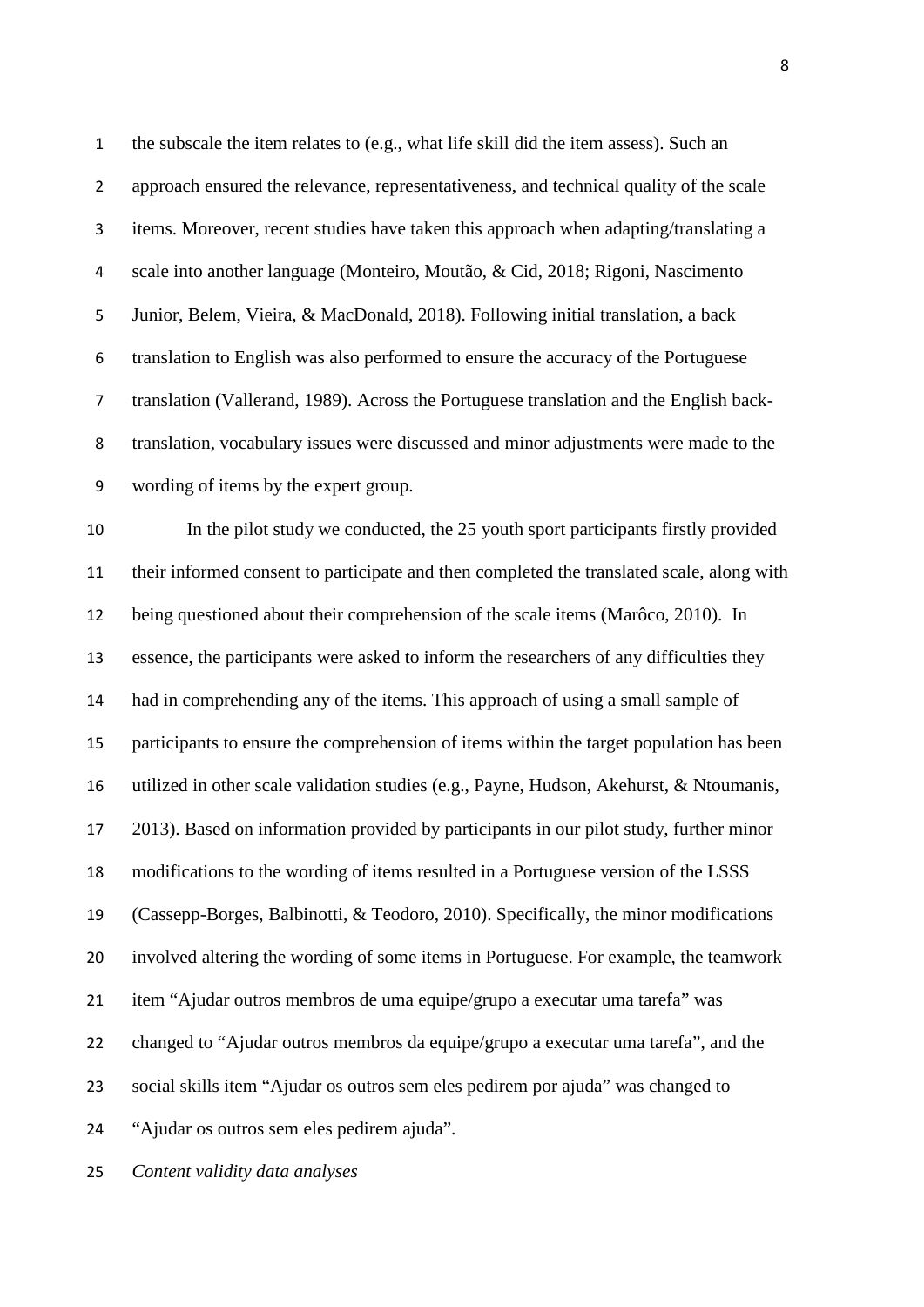the subscale the item relates to (e.g., what life skill did the item assess). Such an approach ensured the relevance, representativeness, and technical quality of the scale items. Moreover, recent studies have taken this approach when adapting/translating a scale into another language (Monteiro, Moutão, & Cid, 2018; Rigoni, Nascimento Junior, Belem, Vieira, & MacDonald, 2018). Following initial translation, a back translation to English was also performed to ensure the accuracy of the Portuguese translation (Vallerand, 1989). Across the Portuguese translation and the English back- translation, vocabulary issues were discussed and minor adjustments were made to the wording of items by the expert group.

 In the pilot study we conducted, the 25 youth sport participants firstly provided their informed consent to participate and then completed the translated scale, along with being questioned about their comprehension of the scale items (Marôco, 2010). In essence, the participants were asked to inform the researchers of any difficulties they had in comprehending any of the items. This approach of using a small sample of participants to ensure the comprehension of items within the target population has been utilized in other scale validation studies (e.g., Payne, Hudson, Akehurst, & Ntoumanis, 2013). Based on information provided by participants in our pilot study, further minor modifications to the wording of items resulted in a Portuguese version of the LSSS (Cassepp-Borges, Balbinotti, & Teodoro, 2010). Specifically, the minor modifications involved altering the wording of some items in Portuguese. For example, the teamwork item "Ajudar outros membros de uma equipe/grupo a executar uma tarefa" was changed to "Ajudar outros membros da equipe/grupo a executar uma tarefa", and the social skills item "Ajudar os outros sem eles pedirem por ajuda" was changed to "Ajudar os outros sem eles pedirem ajuda".

*Content validity data analyses*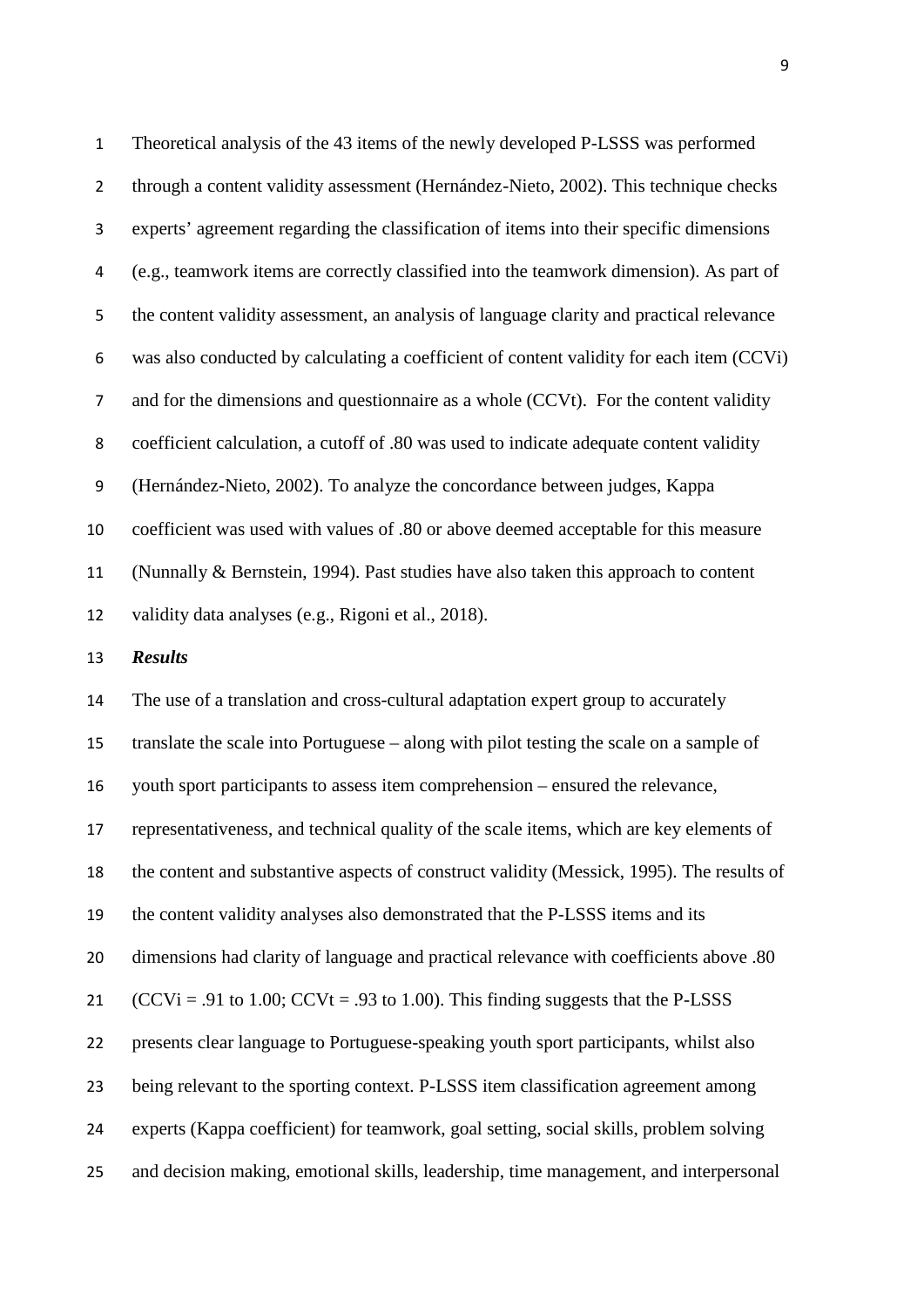Theoretical analysis of the 43 items of the newly developed P-LSSS was performed through a content validity assessment (Hernández-Nieto, 2002). This technique checks experts' agreement regarding the classification of items into their specific dimensions (e.g., teamwork items are correctly classified into the teamwork dimension). As part of the content validity assessment, an analysis of language clarity and practical relevance was also conducted by calculating a coefficient of content validity for each item (CCVi) and for the dimensions and questionnaire as a whole (CCVt). For the content validity coefficient calculation, a cutoff of .80 was used to indicate adequate content validity (Hernández-Nieto, 2002). To analyze the concordance between judges, Kappa coefficient was used with values of .80 or above deemed acceptable for this measure (Nunnally & Bernstein, 1994). Past studies have also taken this approach to content validity data analyses (e.g., Rigoni et al., 2018). *Results* The use of a translation and cross-cultural adaptation expert group to accurately

 translate the scale into Portuguese – along with pilot testing the scale on a sample of youth sport participants to assess item comprehension – ensured the relevance, representativeness, and technical quality of the scale items, which are key elements of the content and substantive aspects of construct validity (Messick, 1995). The results of the content validity analyses also demonstrated that the P-LSSS items and its dimensions had clarity of language and practical relevance with coefficients above .80  $(CCVi = .91$  to 1.00;  $CCVt = .93$  to 1.00). This finding suggests that the P-LSSS presents clear language to Portuguese-speaking youth sport participants, whilst also being relevant to the sporting context. P-LSSS item classification agreement among experts (Kappa coefficient) for teamwork, goal setting, social skills, problem solving and decision making, emotional skills, leadership, time management, and interpersonal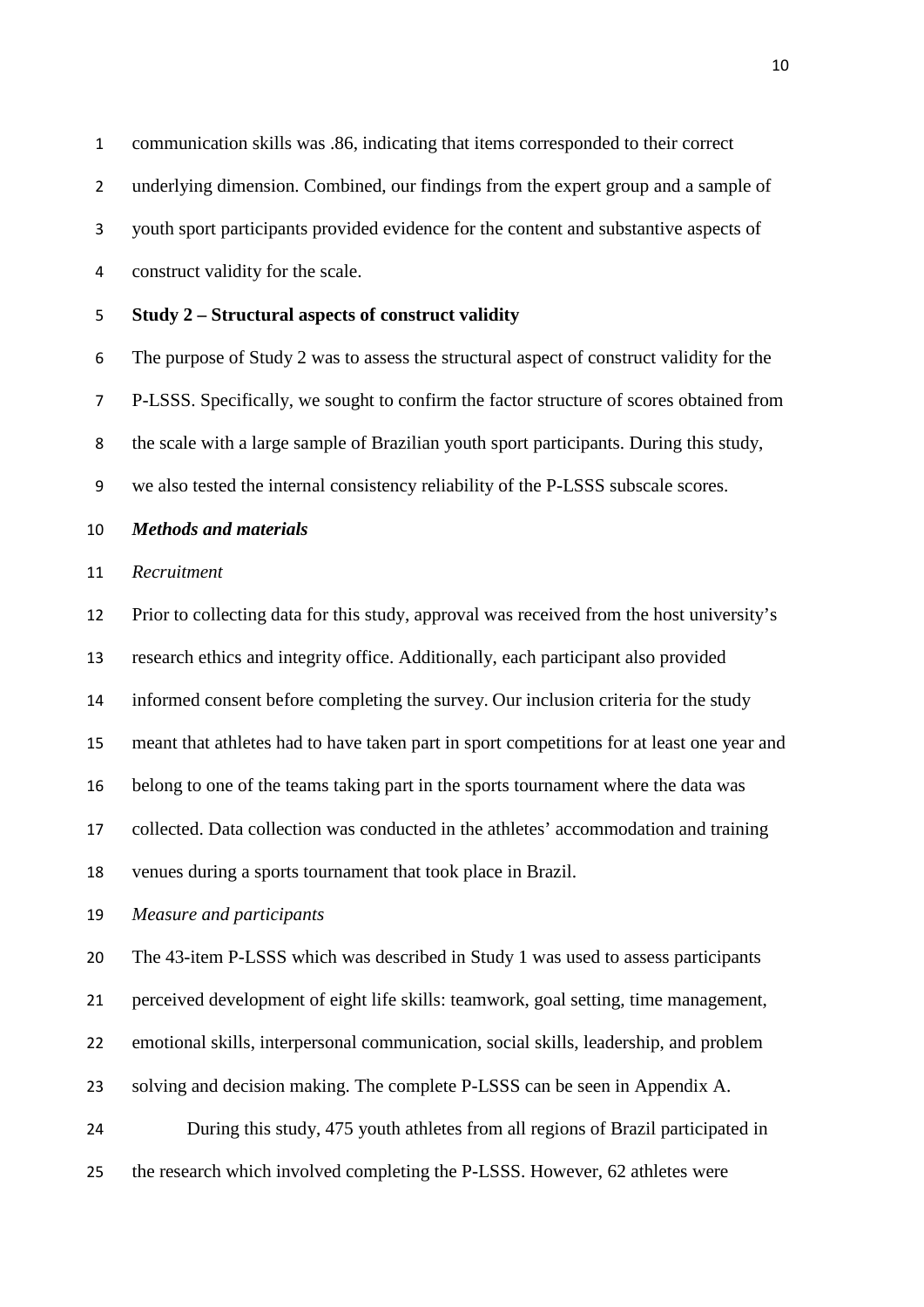communication skills was .86, indicating that items corresponded to their correct

underlying dimension. Combined, our findings from the expert group and a sample of

youth sport participants provided evidence for the content and substantive aspects of

- construct validity for the scale.
- **Study 2 – Structural aspects of construct validity**

 The purpose of Study 2 was to assess the structural aspect of construct validity for the P-LSSS. Specifically, we sought to confirm the factor structure of scores obtained from the scale with a large sample of Brazilian youth sport participants. During this study, we also tested the internal consistency reliability of the P-LSSS subscale scores.

*Methods and materials*

#### *Recruitment*

 Prior to collecting data for this study, approval was received from the host university's research ethics and integrity office. Additionally, each participant also provided informed consent before completing the survey. Our inclusion criteria for the study meant that athletes had to have taken part in sport competitions for at least one year and belong to one of the teams taking part in the sports tournament where the data was collected. Data collection was conducted in the athletes' accommodation and training venues during a sports tournament that took place in Brazil.

*Measure and participants*

The 43-item P-LSSS which was described in Study 1 was used to assess participants

perceived development of eight life skills: teamwork, goal setting, time management,

emotional skills, interpersonal communication, social skills, leadership, and problem

solving and decision making. The complete P-LSSS can be seen in Appendix A.

 During this study, 475 youth athletes from all regions of Brazil participated in the research which involved completing the P-LSSS. However, 62 athletes were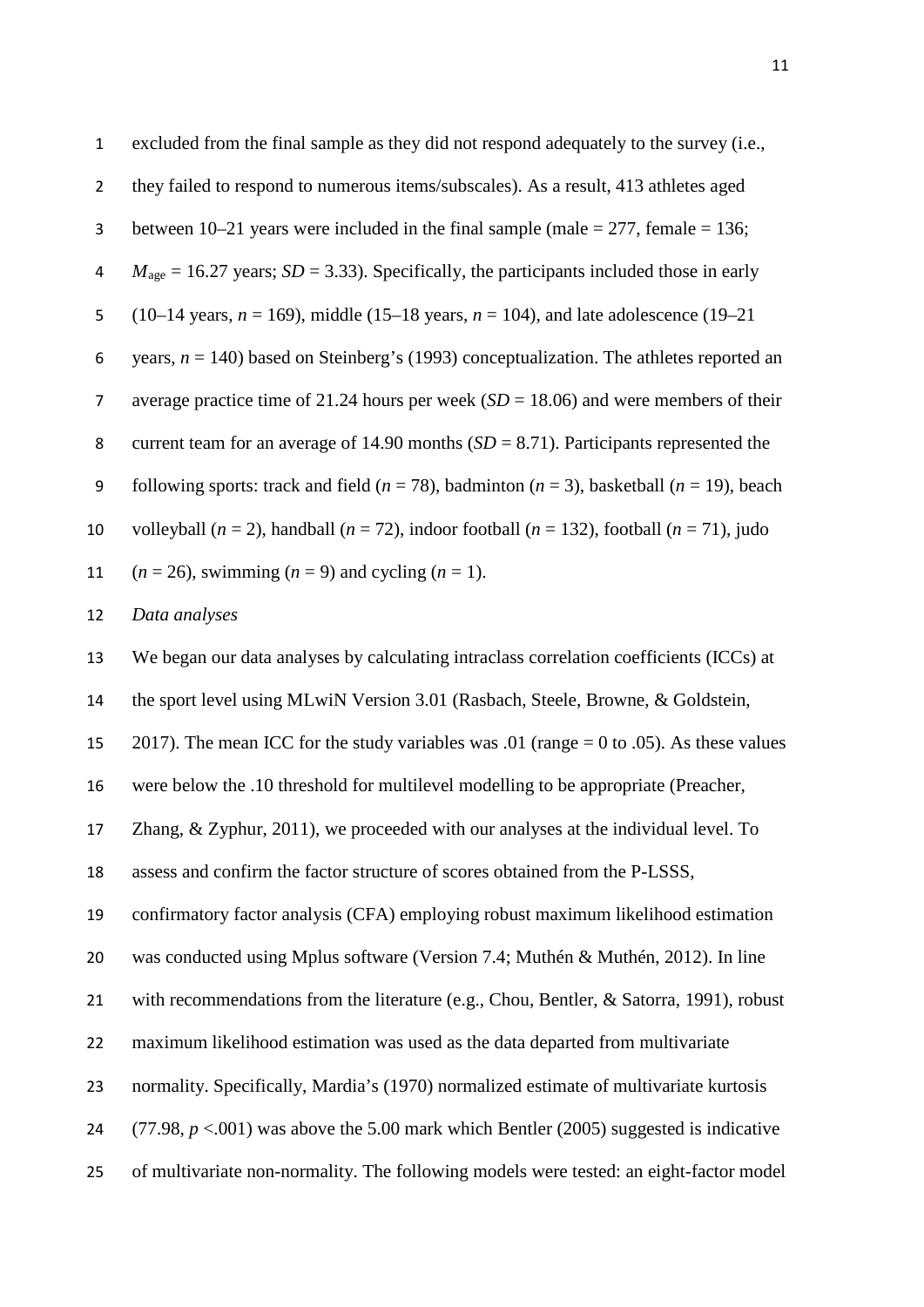| $\mathbf 1$    | excluded from the final sample as they did not respond adequately to the survey (i.e.,                    |
|----------------|-----------------------------------------------------------------------------------------------------------|
| $\overline{2}$ | they failed to respond to numerous items/subscales). As a result, 413 athletes aged                       |
| 3              | between $10-21$ years were included in the final sample (male = 277, female = 136;                        |
| 4              | $M_{\text{age}} = 16.27$ years; SD = 3.33). Specifically, the participants included those in early        |
| 5              | (10–14 years, $n = 169$ ), middle (15–18 years, $n = 104$ ), and late adolescence (19–21)                 |
| 6              | years, $n = 140$ ) based on Steinberg's (1993) conceptualization. The athletes reported an                |
| $\overline{7}$ | average practice time of 21.24 hours per week $(SD = 18.06)$ and were members of their                    |
| 8              | current team for an average of 14.90 months $(SD = 8.71)$ . Participants represented the                  |
| 9              | following sports: track and field ( $n = 78$ ), badminton ( $n = 3$ ), basketball ( $n = 19$ ), beach     |
| 10             | volleyball ( $n = 2$ ), handball ( $n = 72$ ), indoor football ( $n = 132$ ), football ( $n = 71$ ), judo |
| 11             | $(n = 26)$ , swimming $(n = 9)$ and cycling $(n = 1)$ .                                                   |
| 12             | Data analyses                                                                                             |
| 13             | We began our data analyses by calculating intraclass correlation coefficients (ICCs) at                   |
| 14             | the sport level using MLwiN Version 3.01 (Rasbach, Steele, Browne, & Goldstein,                           |
| 15             | 2017). The mean ICC for the study variables was .01 (range $= 0$ to .05). As these values                 |
| 16             | were below the .10 threshold for multilevel modelling to be appropriate (Preacher,                        |
| 17             | Zhang, $\&$ Zyphur, 2011), we proceeded with our analyses at the individual level. To                     |
| 18             | assess and confirm the factor structure of scores obtained from the P-LSSS,                               |
| 19             | confirmatory factor analysis (CFA) employing robust maximum likelihood estimation                         |
| 20             | was conducted using Mplus software (Version 7.4; Muthén & Muthén, 2012). In line                          |
| 21             | with recommendations from the literature (e.g., Chou, Bentler, & Satorra, 1991), robust                   |
| 22             | maximum likelihood estimation was used as the data departed from multivariate                             |
| 23             | normality. Specifically, Mardia's (1970) normalized estimate of multivariate kurtosis                     |
| 24             | $(77.98, p < .001)$ was above the 5.00 mark which Bentler (2005) suggested is indicative                  |
|                |                                                                                                           |

of multivariate non-normality. The following models were tested: an eight-factor model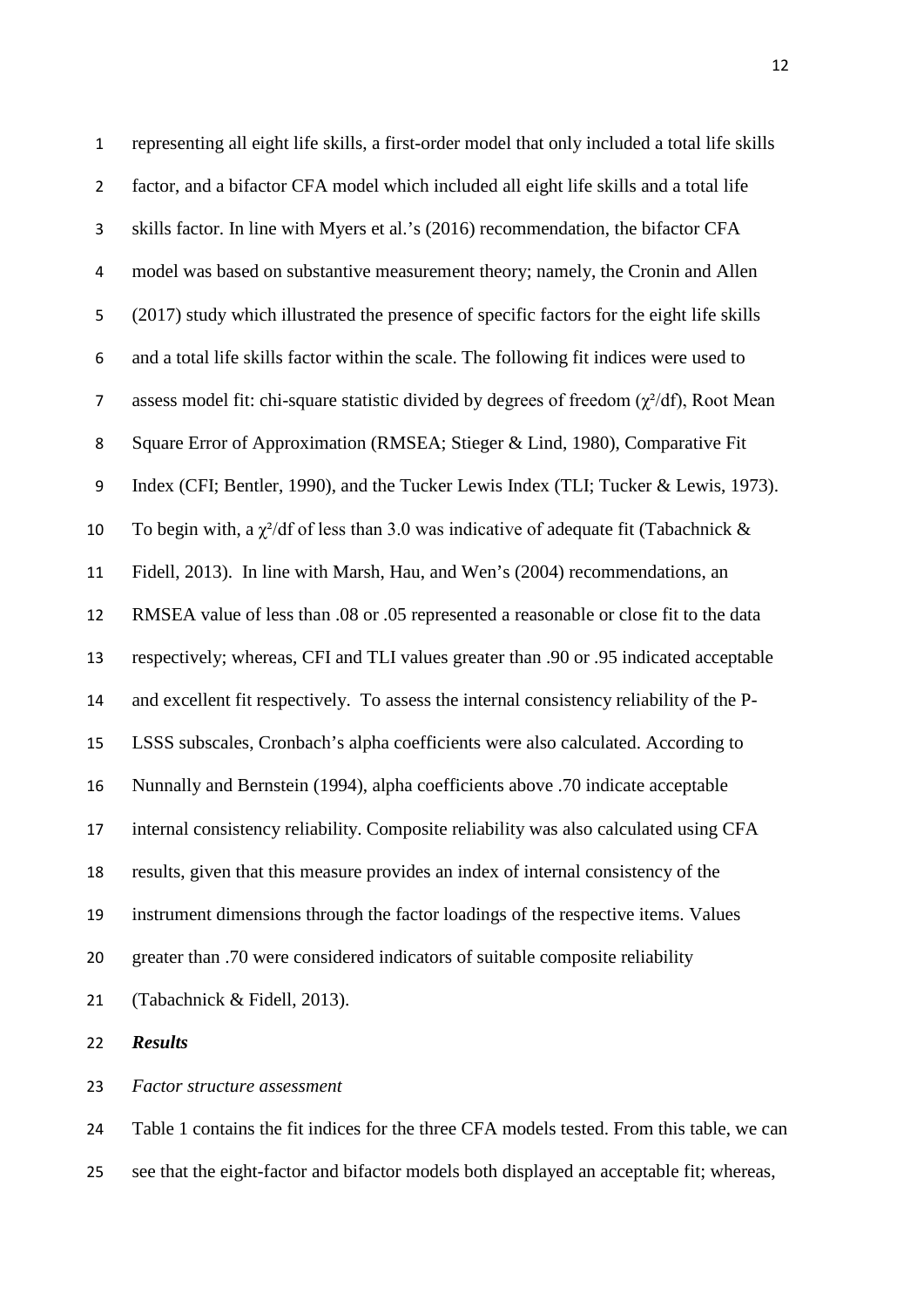representing all eight life skills, a first-order model that only included a total life skills factor, and a bifactor CFA model which included all eight life skills and a total life skills factor. In line with Myers et al.'s (2016) recommendation, the bifactor CFA model was based on substantive measurement theory; namely, the Cronin and Allen (2017) study which illustrated the presence of specific factors for the eight life skills and a total life skills factor within the scale. The following fit indices were used to 7 assess model fit: chi-square statistic divided by degrees of freedom  $(\gamma^2/df)$ , Root Mean Square Error of Approximation (RMSEA; Stieger & Lind, 1980), Comparative Fit Index (CFI; Bentler, 1990), and the Tucker Lewis Index (TLI; Tucker & Lewis, 1973). 10 To begin with, a  $\chi^2$ /df of less than 3.0 was indicative of adequate fit (Tabachnick & Fidell, 2013). In line with Marsh, Hau, and Wen's (2004) recommendations, an RMSEA value of less than .08 or .05 represented a reasonable or close fit to the data respectively; whereas, CFI and TLI values greater than .90 or .95 indicated acceptable and excellent fit respectively. To assess the internal consistency reliability of the P- LSSS subscales, Cronbach's alpha coefficients were also calculated. According to Nunnally and Bernstein (1994), alpha coefficients above .70 indicate acceptable internal consistency reliability. Composite reliability was also calculated using CFA results, given that this measure provides an index of internal consistency of the instrument dimensions through the factor loadings of the respective items. Values greater than .70 were considered indicators of suitable composite reliability (Tabachnick & Fidell, 2013).

*Results*

*Factor structure assessment*

 Table 1 contains the fit indices for the three CFA models tested. From this table, we can see that the eight-factor and bifactor models both displayed an acceptable fit; whereas,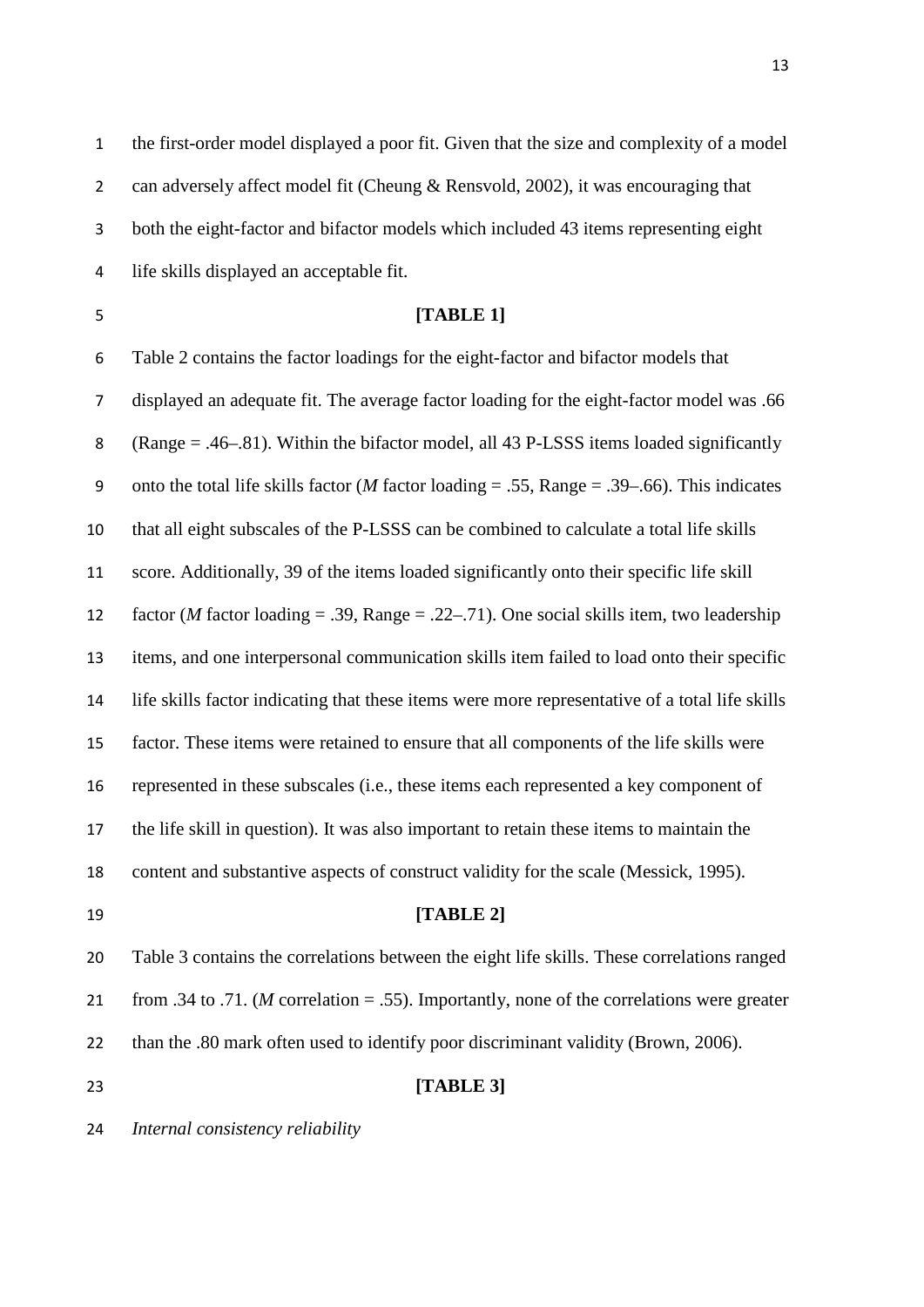the first-order model displayed a poor fit. Given that the size and complexity of a model can adversely affect model fit (Cheung & Rensvold, 2002), it was encouraging that both the eight-factor and bifactor models which included 43 items representing eight life skills displayed an acceptable fit.

#### **[TABLE 1]**

 Table 2 contains the factor loadings for the eight-factor and bifactor models that displayed an adequate fit. The average factor loading for the eight-factor model was .66 (Range = .46–.81). Within the bifactor model, all 43 P-LSSS items loaded significantly onto the total life skills factor (*M* factor loading = .55, Range = .39–.66). This indicates that all eight subscales of the P-LSSS can be combined to calculate a total life skills score. Additionally, 39 of the items loaded significantly onto their specific life skill factor (*M* factor loading = .39, Range = .22–.71). One social skills item, two leadership items, and one interpersonal communication skills item failed to load onto their specific life skills factor indicating that these items were more representative of a total life skills factor. These items were retained to ensure that all components of the life skills were represented in these subscales (i.e., these items each represented a key component of the life skill in question). It was also important to retain these items to maintain the content and substantive aspects of construct validity for the scale (Messick, 1995). **[TABLE 2]** Table 3 contains the correlations between the eight life skills. These correlations ranged from .34 to .71. (*M* correlation = .55). Importantly, none of the correlations were greater than the .80 mark often used to identify poor discriminant validity (Brown, 2006).

#### **[TABLE 3]**

*Internal consistency reliability*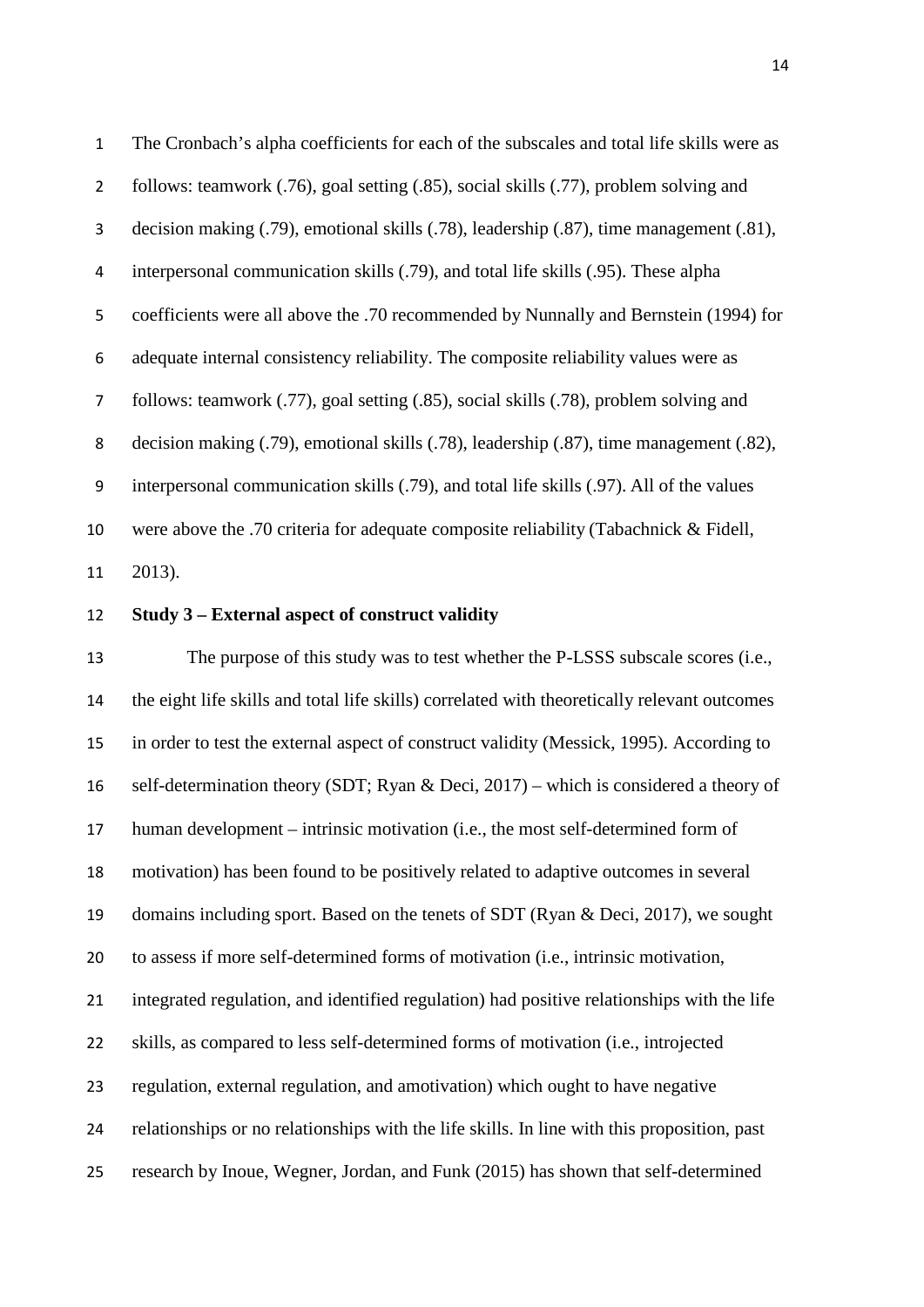The Cronbach's alpha coefficients for each of the subscales and total life skills were as follows: teamwork (.76), goal setting (.85), social skills (.77), problem solving and decision making (.79), emotional skills (.78), leadership (.87), time management (.81), interpersonal communication skills (.79), and total life skills (.95). These alpha coefficients were all above the .70 recommended by Nunnally and Bernstein (1994) for adequate internal consistency reliability. The composite reliability values were as follows: teamwork (.77), goal setting (.85), social skills (.78), problem solving and decision making (.79), emotional skills (.78), leadership (.87), time management (.82), interpersonal communication skills (.79), and total life skills (.97). All of the values were above the .70 criteria for adequate composite reliability (Tabachnick & Fidell, 2013).

**Study 3 – External aspect of construct validity**

 The purpose of this study was to test whether the P-LSSS subscale scores (i.e., the eight life skills and total life skills) correlated with theoretically relevant outcomes in order to test the external aspect of construct validity (Messick, 1995). According to self-determination theory (SDT; Ryan & Deci, 2017) – which is considered a theory of human development – intrinsic motivation (i.e., the most self-determined form of motivation) has been found to be positively related to adaptive outcomes in several domains including sport. Based on the tenets of SDT (Ryan & Deci, 2017), we sought to assess if more self-determined forms of motivation (i.e., intrinsic motivation, integrated regulation, and identified regulation) had positive relationships with the life skills, as compared to less self-determined forms of motivation (i.e., introjected regulation, external regulation, and amotivation) which ought to have negative relationships or no relationships with the life skills. In line with this proposition, past research by Inoue, Wegner, Jordan, and Funk (2015) has shown that self-determined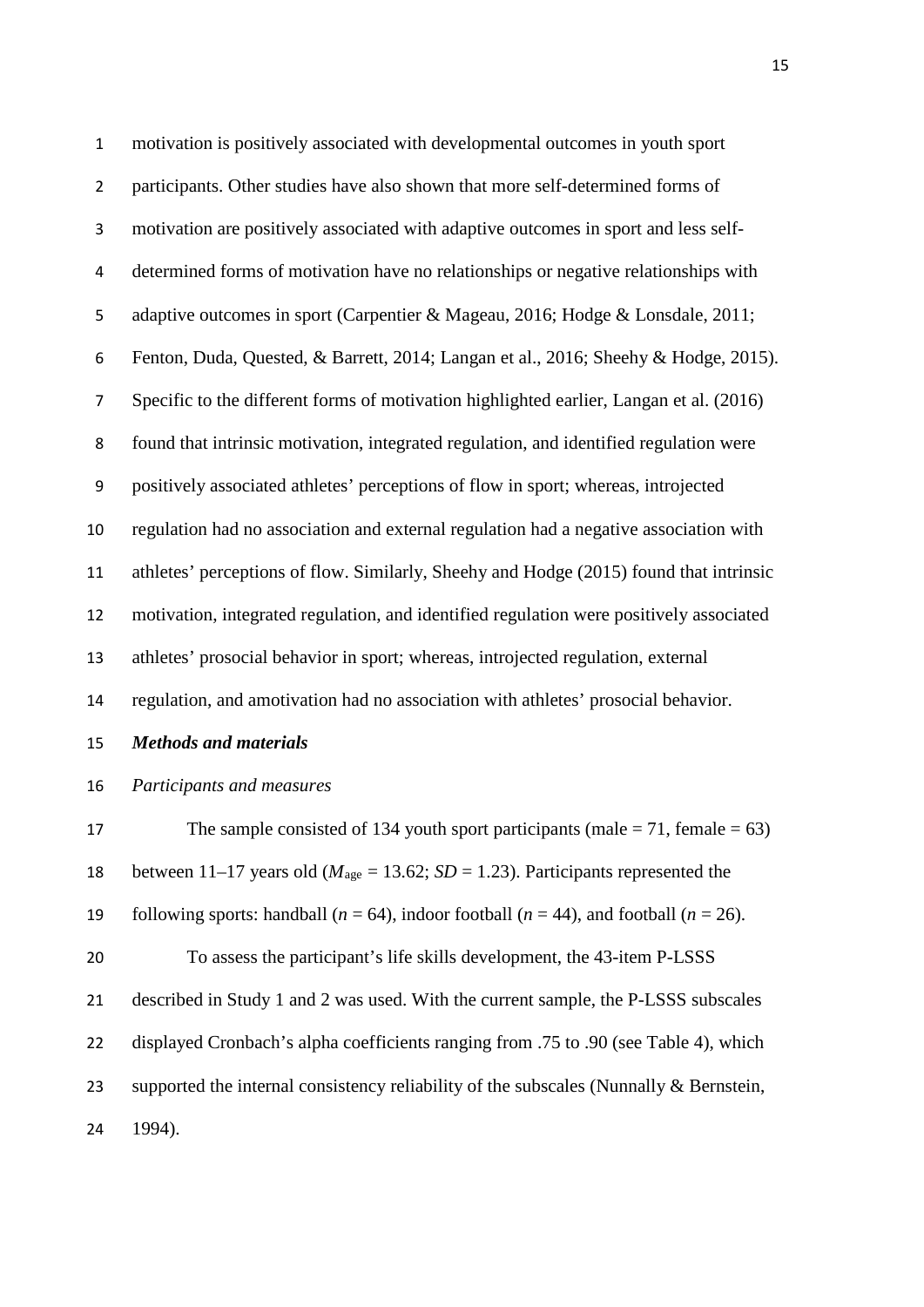motivation is positively associated with developmental outcomes in youth sport participants. Other studies have also shown that more self-determined forms of motivation are positively associated with adaptive outcomes in sport and less self- determined forms of motivation have no relationships or negative relationships with adaptive outcomes in sport (Carpentier & Mageau, 2016; Hodge & Lonsdale, 2011; Fenton, Duda, Quested, & Barrett, 2014; Langan et al., 2016; Sheehy & Hodge, 2015). Specific to the different forms of motivation highlighted earlier, Langan et al. (2016) found that intrinsic motivation, integrated regulation, and identified regulation were positively associated athletes' perceptions of flow in sport; whereas, introjected regulation had no association and external regulation had a negative association with athletes' perceptions of flow. Similarly, Sheehy and Hodge (2015) found that intrinsic motivation, integrated regulation, and identified regulation were positively associated athletes' prosocial behavior in sport; whereas, introjected regulation, external regulation, and amotivation had no association with athletes' prosocial behavior.

*Methods and materials*

#### *Participants and measures*

17 The sample consisted of 134 youth sport participants (male  $= 71$ , female  $= 63$ ) 18 between 11–17 years old ( $M_{\text{age}} = 13.62$ ; *SD* = 1.23). Participants represented the 19 following sports: handball  $(n = 64)$ , indoor football  $(n = 44)$ , and football  $(n = 26)$ . To assess the participant's life skills development, the 43-item P-LSSS described in Study 1 and 2 was used. With the current sample, the P-LSSS subscales displayed Cronbach's alpha coefficients ranging from .75 to .90 (see Table 4), which 23 supported the internal consistency reliability of the subscales (Nunnally & Bernstein, 1994).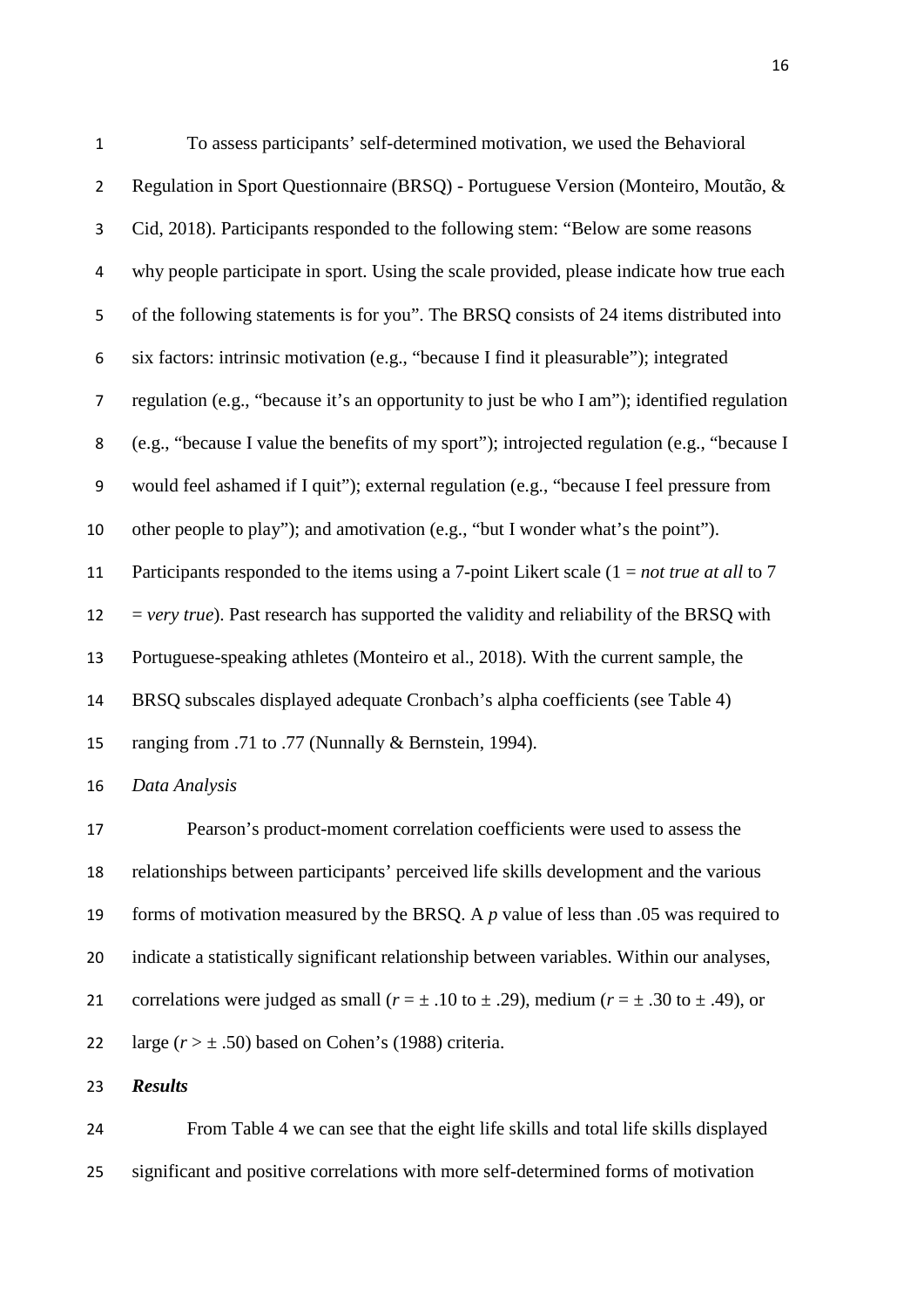| $\mathbf{1}$     | To assess participants' self-determined motivation, we used the Behavioral                    |
|------------------|-----------------------------------------------------------------------------------------------|
| $\overline{2}$   | Regulation in Sport Questionnaire (BRSQ) - Portuguese Version (Monteiro, Moutão, &            |
| 3                | Cid, 2018). Participants responded to the following stem: "Below are some reasons             |
| 4                | why people participate in sport. Using the scale provided, please indicate how true each      |
| 5                | of the following statements is for you". The BRSQ consists of 24 items distributed into       |
| 6                | six factors: intrinsic motivation (e.g., "because I find it pleasurable"); integrated         |
| $\overline{7}$   | regulation (e.g., "because it's an opportunity to just be who I am"); identified regulation   |
| 8                | (e.g., "because I value the benefits of my sport"); introjected regulation (e.g., "because I  |
| $\boldsymbol{9}$ | would feel ashamed if I quit"); external regulation (e.g., "because I feel pressure from      |
| 10               | other people to play"); and amotivation (e.g., "but I wonder what's the point").              |
| 11               | Participants responded to the items using a 7-point Likert scale $(1 = not true at all to 7)$ |
| 12               | $=$ very true). Past research has supported the validity and reliability of the BRSQ with     |
| 13               | Portuguese-speaking athletes (Monteiro et al., 2018). With the current sample, the            |
| 14               | BRSQ subscales displayed adequate Cronbach's alpha coefficients (see Table 4)                 |
| 15               | ranging from .71 to .77 (Nunnally & Bernstein, 1994).                                         |
| 16               | Data Analysis                                                                                 |
| 17               | Pearson's product-moment correlation coefficients were used to assess the                     |

 relationships between participants' perceived life skills development and the various forms of motivation measured by the BRSQ. A *p* value of less than .05 was required to indicate a statistically significant relationship between variables. Within our analyses, 21 correlations were judged as small ( $r = \pm .10$  to  $\pm .29$ ), medium ( $r = \pm .30$  to  $\pm .49$ ), or 22 large  $(r > \pm .50)$  based on Cohen's (1988) criteria.

*Results*

 From Table 4 we can see that the eight life skills and total life skills displayed significant and positive correlations with more self-determined forms of motivation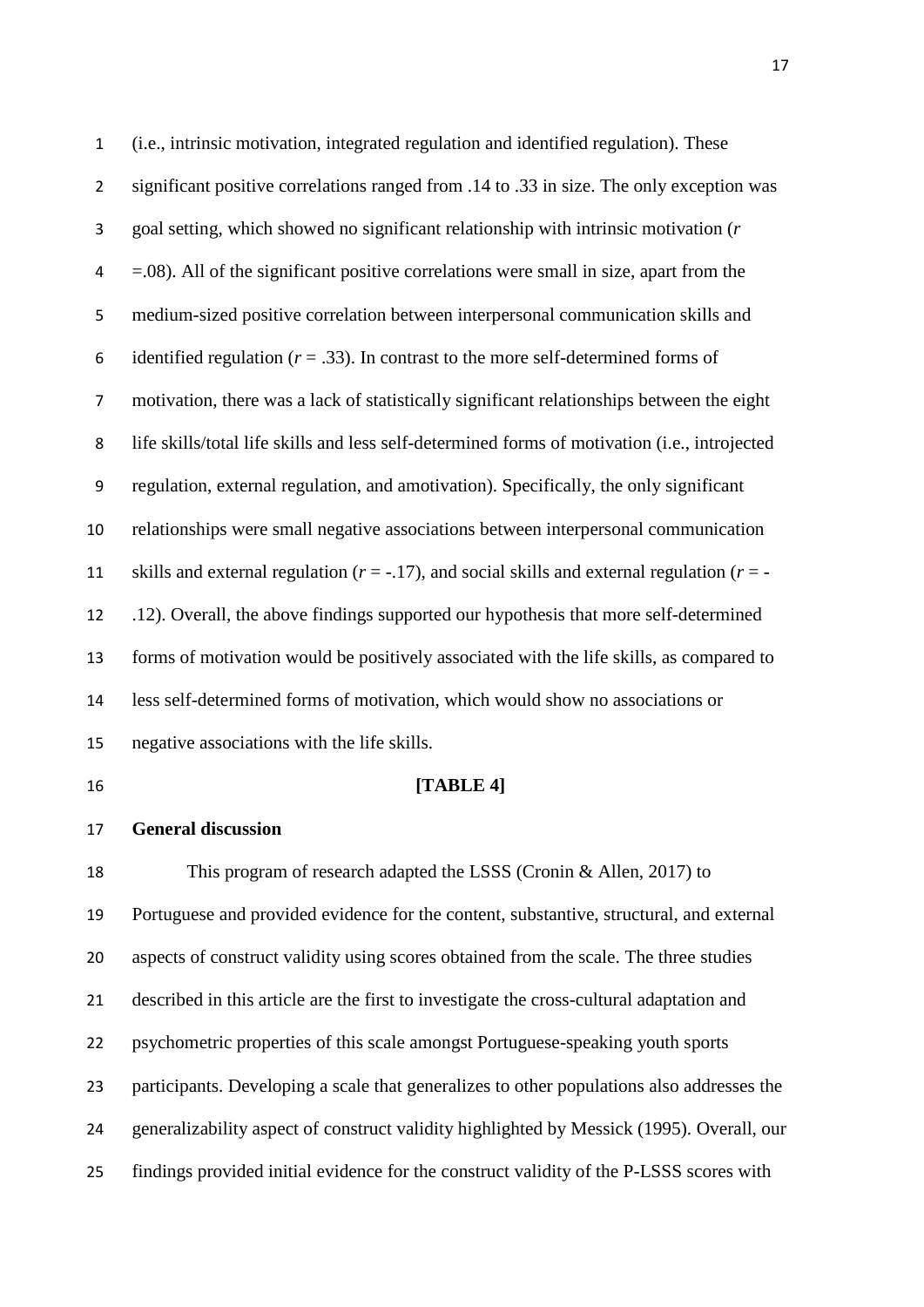(i.e., intrinsic motivation, integrated regulation and identified regulation). These significant positive correlations ranged from .14 to .33 in size. The only exception was goal setting, which showed no significant relationship with intrinsic motivation (*r*  $4 = .08$ ). All of the significant positive correlations were small in size, apart from the medium-sized positive correlation between interpersonal communication skills and 6 identified regulation  $(r = .33)$ . In contrast to the more self-determined forms of motivation, there was a lack of statistically significant relationships between the eight life skills/total life skills and less self-determined forms of motivation (i.e., introjected regulation, external regulation, and amotivation). Specifically, the only significant relationships were small negative associations between interpersonal communication 11 skills and external regulation  $(r = -17)$ , and social skills and external regulation  $(r = -17)$  .12). Overall, the above findings supported our hypothesis that more self-determined forms of motivation would be positively associated with the life skills, as compared to less self-determined forms of motivation, which would show no associations or negative associations with the life skills. **[TABLE 4] General discussion** This program of research adapted the LSSS (Cronin & Allen, 2017) to Portuguese and provided evidence for the content, substantive, structural, and external aspects of construct validity using scores obtained from the scale. The three studies described in this article are the first to investigate the cross-cultural adaptation and psychometric properties of this scale amongst Portuguese-speaking youth sports

participants. Developing a scale that generalizes to other populations also addresses the

generalizability aspect of construct validity highlighted by Messick (1995). Overall, our

findings provided initial evidence for the construct validity of the P-LSSS scores with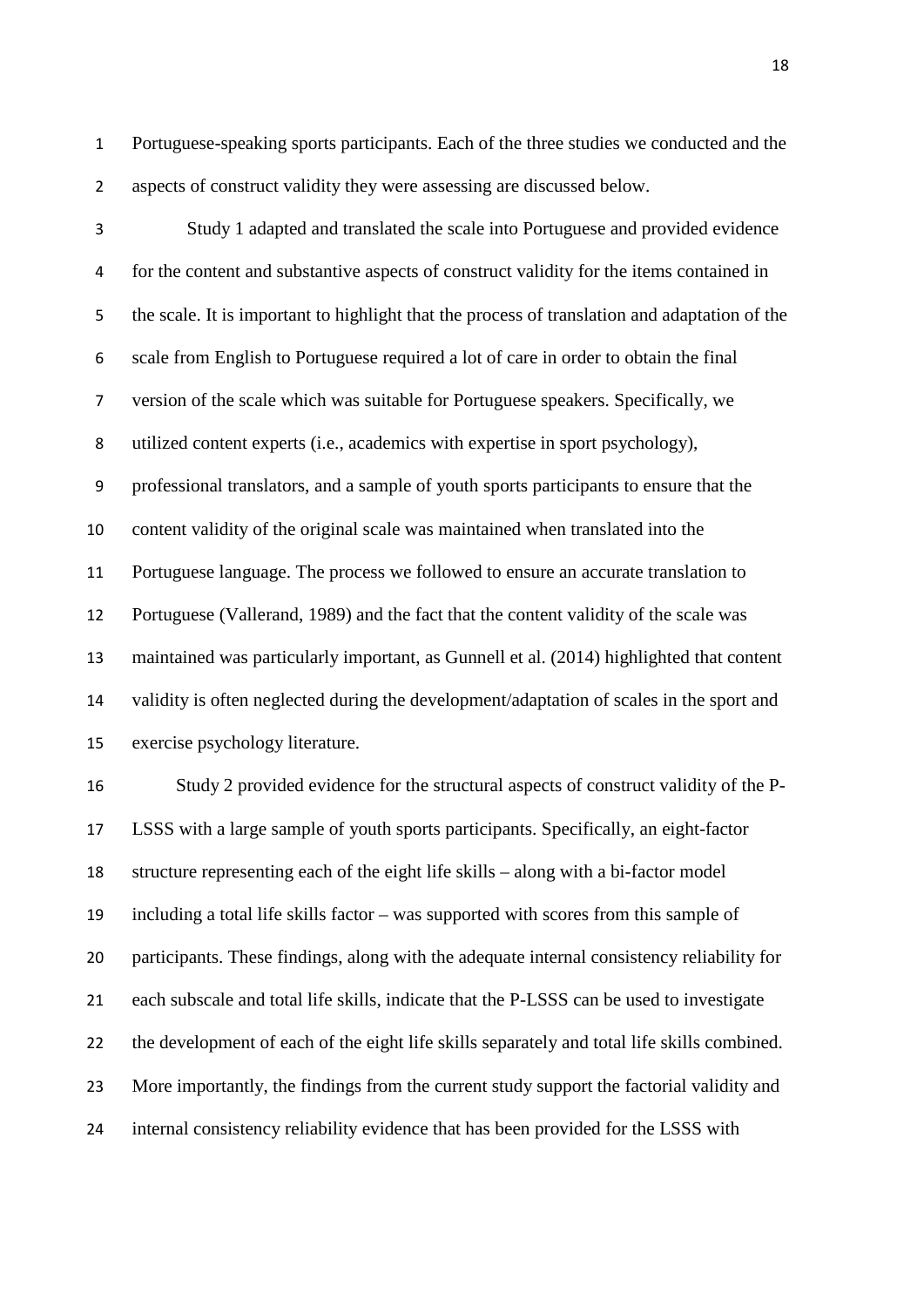Portuguese-speaking sports participants. Each of the three studies we conducted and the aspects of construct validity they were assessing are discussed below.

 Study 1 adapted and translated the scale into Portuguese and provided evidence for the content and substantive aspects of construct validity for the items contained in the scale. It is important to highlight that the process of translation and adaptation of the scale from English to Portuguese required a lot of care in order to obtain the final version of the scale which was suitable for Portuguese speakers. Specifically, we utilized content experts (i.e., academics with expertise in sport psychology), professional translators, and a sample of youth sports participants to ensure that the content validity of the original scale was maintained when translated into the Portuguese language. The process we followed to ensure an accurate translation to Portuguese (Vallerand, 1989) and the fact that the content validity of the scale was maintained was particularly important, as Gunnell et al. (2014) highlighted that content validity is often neglected during the development/adaptation of scales in the sport and exercise psychology literature.

 Study 2 provided evidence for the structural aspects of construct validity of the P- LSSS with a large sample of youth sports participants. Specifically, an eight-factor structure representing each of the eight life skills – along with a bi-factor model including a total life skills factor – was supported with scores from this sample of participants. These findings, along with the adequate internal consistency reliability for each subscale and total life skills, indicate that the P-LSSS can be used to investigate the development of each of the eight life skills separately and total life skills combined. More importantly, the findings from the current study support the factorial validity and internal consistency reliability evidence that has been provided for the LSSS with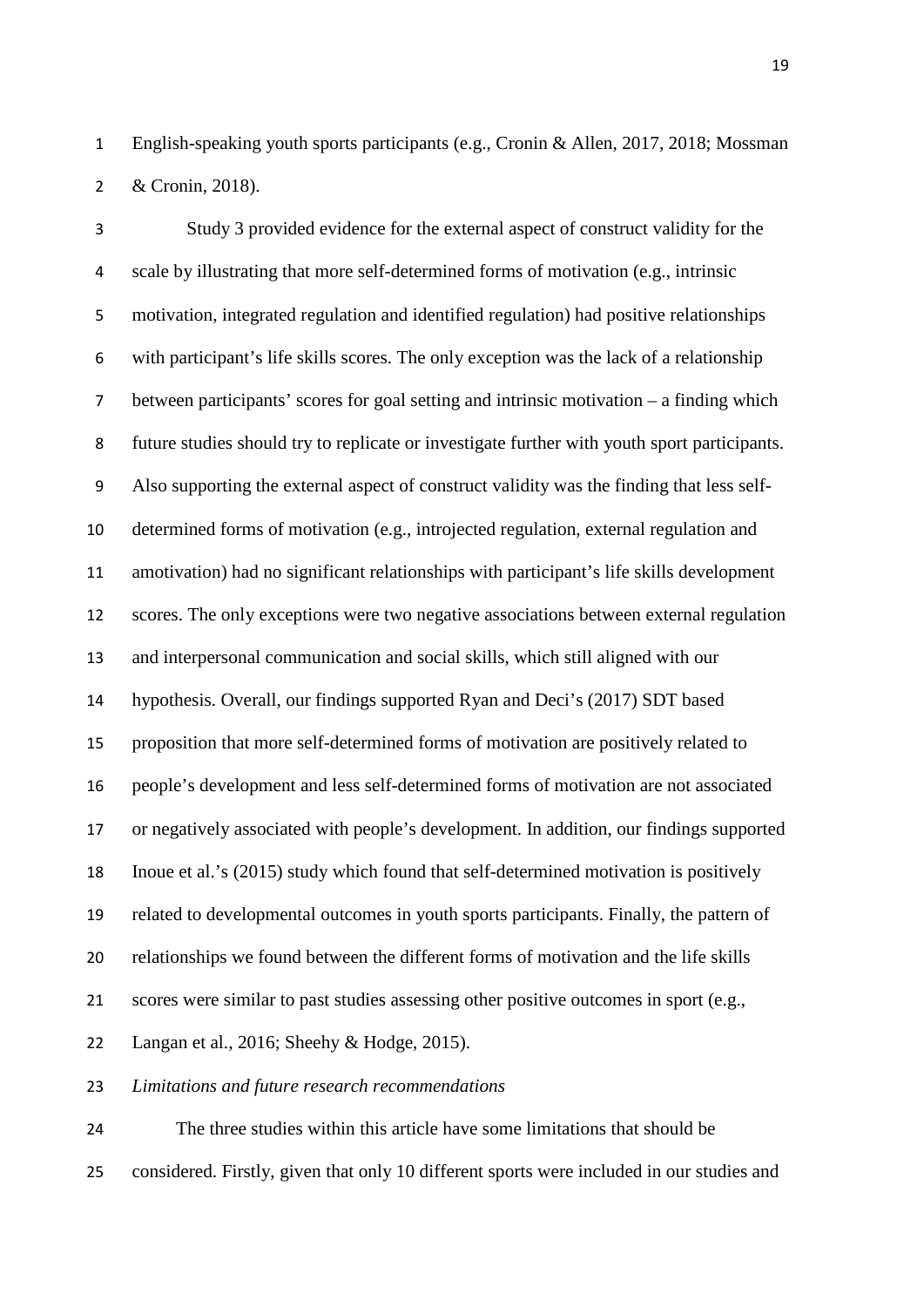English-speaking youth sports participants (e.g., Cronin & Allen, 2017, 2018; Mossman & Cronin, 2018).

 Study 3 provided evidence for the external aspect of construct validity for the scale by illustrating that more self-determined forms of motivation (e.g., intrinsic motivation, integrated regulation and identified regulation) had positive relationships with participant's life skills scores. The only exception was the lack of a relationship between participants' scores for goal setting and intrinsic motivation – a finding which future studies should try to replicate or investigate further with youth sport participants. Also supporting the external aspect of construct validity was the finding that less self- determined forms of motivation (e.g., introjected regulation, external regulation and amotivation) had no significant relationships with participant's life skills development scores. The only exceptions were two negative associations between external regulation and interpersonal communication and social skills, which still aligned with our hypothesis. Overall, our findings supported Ryan and Deci's (2017) SDT based proposition that more self-determined forms of motivation are positively related to people's development and less self-determined forms of motivation are not associated or negatively associated with people's development. In addition, our findings supported Inoue et al.'s (2015) study which found that self-determined motivation is positively related to developmental outcomes in youth sports participants. Finally, the pattern of relationships we found between the different forms of motivation and the life skills scores were similar to past studies assessing other positive outcomes in sport (e.g., Langan et al., 2016; Sheehy & Hodge, 2015).

*Limitations and future research recommendations*

 The three studies within this article have some limitations that should be considered. Firstly, given that only 10 different sports were included in our studies and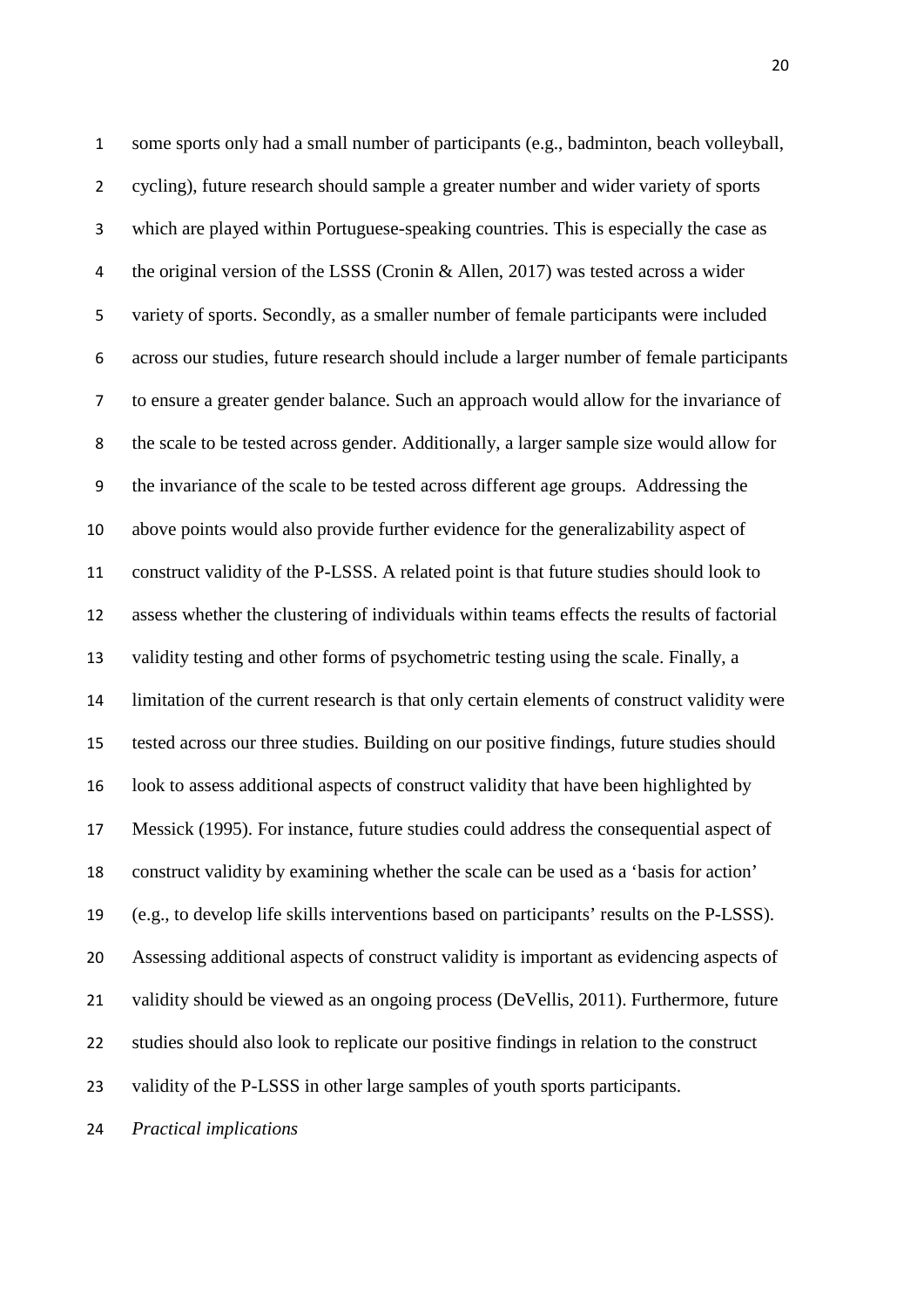some sports only had a small number of participants (e.g., badminton, beach volleyball, cycling), future research should sample a greater number and wider variety of sports which are played within Portuguese-speaking countries. This is especially the case as the original version of the LSSS (Cronin & Allen, 2017) was tested across a wider variety of sports. Secondly, as a smaller number of female participants were included across our studies, future research should include a larger number of female participants to ensure a greater gender balance. Such an approach would allow for the invariance of the scale to be tested across gender. Additionally, a larger sample size would allow for the invariance of the scale to be tested across different age groups. Addressing the above points would also provide further evidence for the generalizability aspect of construct validity of the P-LSSS. A related point is that future studies should look to assess whether the clustering of individuals within teams effects the results of factorial validity testing and other forms of psychometric testing using the scale. Finally, a limitation of the current research is that only certain elements of construct validity were tested across our three studies. Building on our positive findings, future studies should look to assess additional aspects of construct validity that have been highlighted by Messick (1995). For instance, future studies could address the consequential aspect of construct validity by examining whether the scale can be used as a 'basis for action' (e.g., to develop life skills interventions based on participants' results on the P-LSSS). Assessing additional aspects of construct validity is important as evidencing aspects of 21 validity should be viewed as an ongoing process (DeVellis, 2011). Furthermore, future studies should also look to replicate our positive findings in relation to the construct validity of the P-LSSS in other large samples of youth sports participants.

*Practical implications*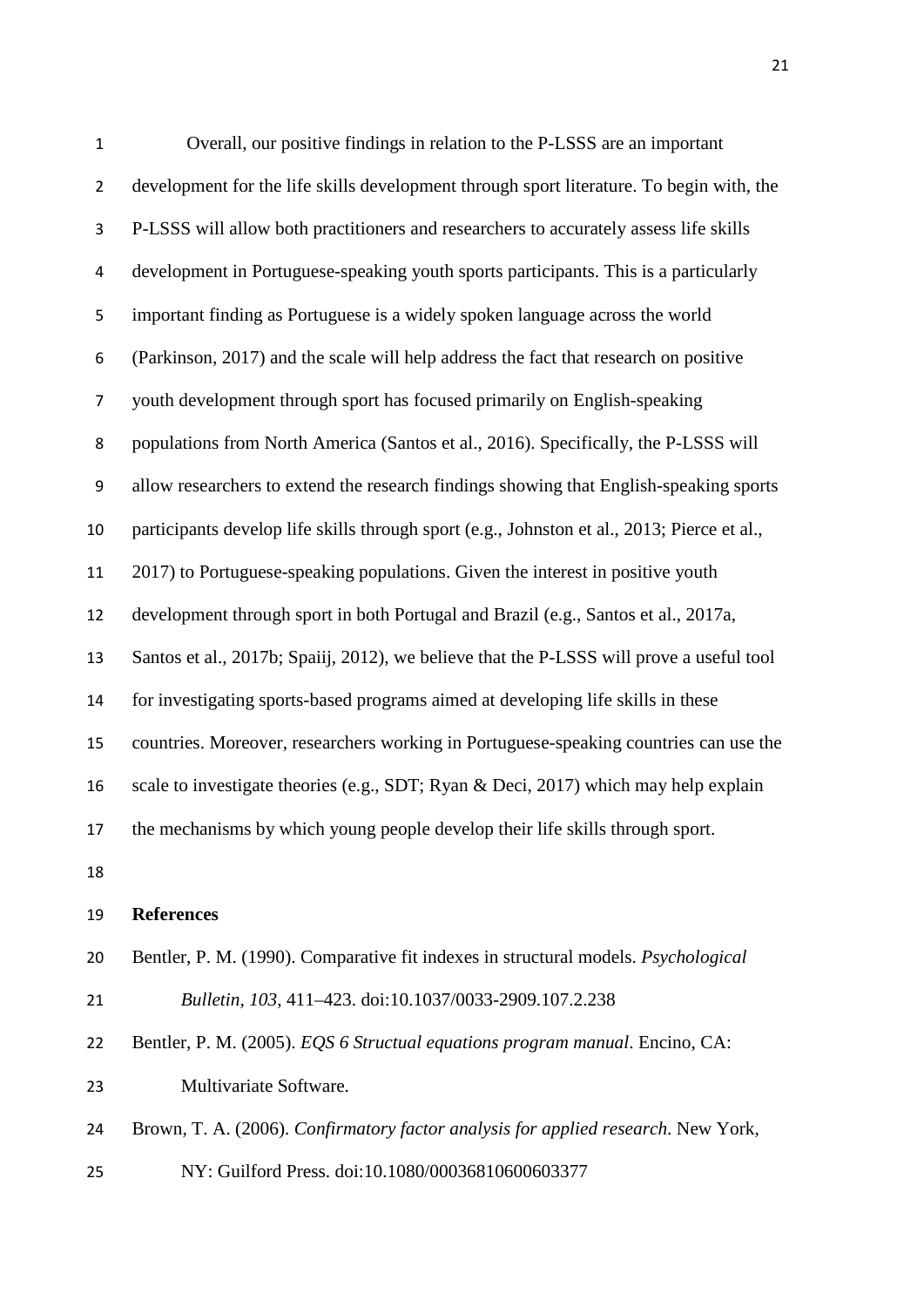| $\mathbf{1}$   | Overall, our positive findings in relation to the P-LSSS are an important                   |
|----------------|---------------------------------------------------------------------------------------------|
| $\overline{2}$ | development for the life skills development through sport literature. To begin with, the    |
| 3              | P-LSSS will allow both practitioners and researchers to accurately assess life skills       |
| 4              | development in Portuguese-speaking youth sports participants. This is a particularly        |
| 5              | important finding as Portuguese is a widely spoken language across the world                |
| 6              | (Parkinson, 2017) and the scale will help address the fact that research on positive        |
| $\overline{7}$ | youth development through sport has focused primarily on English-speaking                   |
| 8              | populations from North America (Santos et al., 2016). Specifically, the P-LSSS will         |
| 9              | allow researchers to extend the research findings showing that English-speaking sports      |
| 10             | participants develop life skills through sport (e.g., Johnston et al., 2013; Pierce et al., |
| 11             | 2017) to Portuguese-speaking populations. Given the interest in positive youth              |
| 12             | development through sport in both Portugal and Brazil (e.g., Santos et al., 2017a,          |
| 13             | Santos et al., 2017b; Spaiij, 2012), we believe that the P-LSSS will prove a useful tool    |
| 14             | for investigating sports-based programs aimed at developing life skills in these            |
| 15             | countries. Moreover, researchers working in Portuguese-speaking countries can use the       |
| 16             | scale to investigate theories (e.g., SDT; Ryan & Deci, 2017) which may help explain         |
| 17             | the mechanisms by which young people develop their life skills through sport.               |
| 18             |                                                                                             |
| 19             | <b>References</b>                                                                           |
| 20             | Bentler, P. M. (1990). Comparative fit indexes in structural models. <i>Psychological</i>   |
| 21             | Bulletin, 103, 411-423. doi:10.1037/0033-2909.107.2.238                                     |
| 22             | Bentler, P. M. (2005). EQS 6 Structual equations program manual. Encino, CA:                |
| 23             | Multivariate Software.                                                                      |
| 24             | Brown, T. A. (2006). Confirmatory factor analysis for applied research. New York,           |
| 25             | NY: Guilford Press. doi:10.1080/00036810600603377                                           |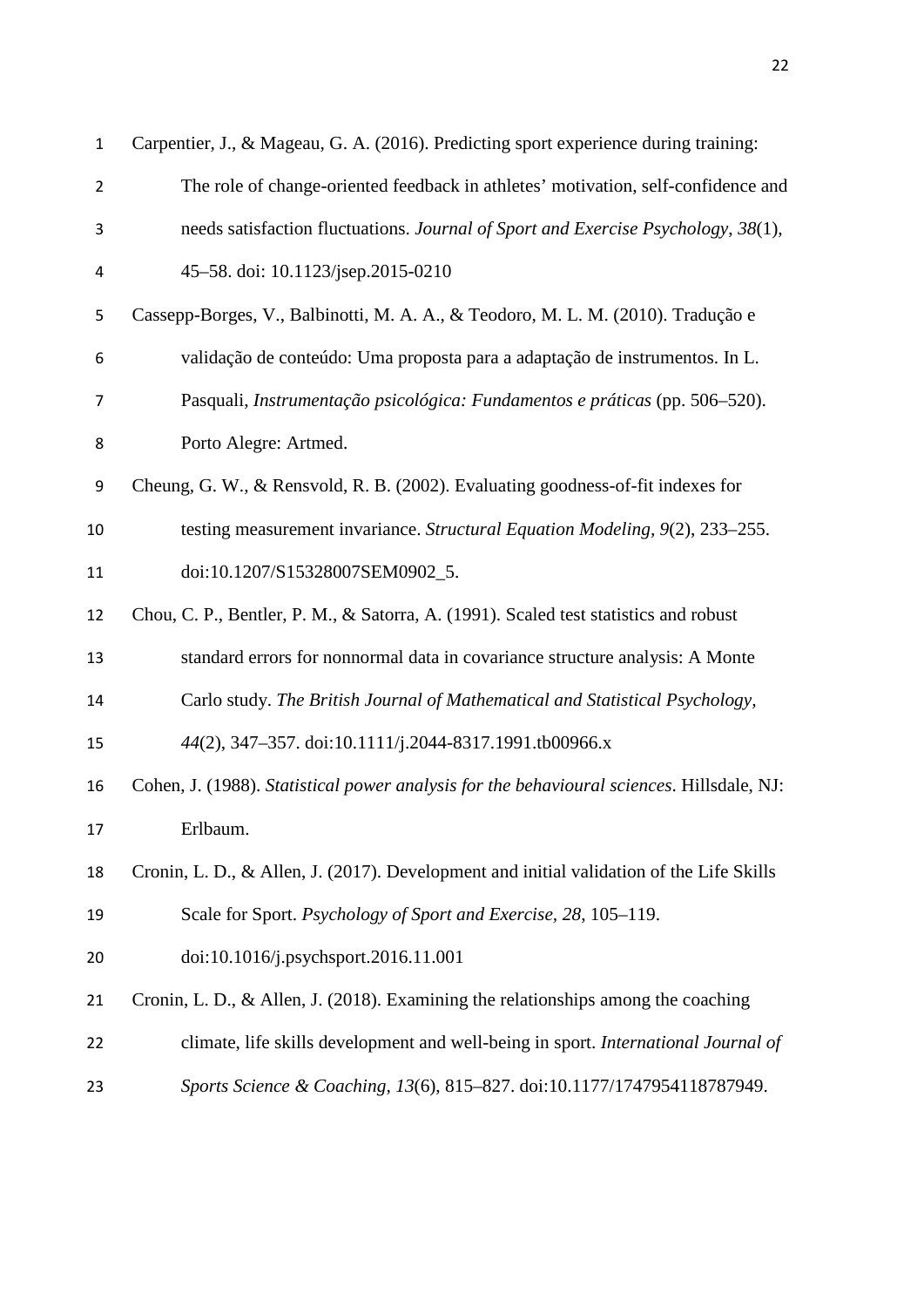| 1              | Carpentier, J., & Mageau, G. A. (2016). Predicting sport experience during training:      |
|----------------|-------------------------------------------------------------------------------------------|
| $\overline{2}$ | The role of change-oriented feedback in athletes' motivation, self-confidence and         |
| 3              | needs satisfaction fluctuations. Journal of Sport and Exercise Psychology, 38(1),         |
| 4              | 45-58. doi: 10.1123/jsep.2015-0210                                                        |
| 5              | Cassepp-Borges, V., Balbinotti, M. A. A., & Teodoro, M. L. M. (2010). Tradução e          |
| 6              | validação de conteúdo: Uma proposta para a adaptação de instrumentos. In L.               |
| 7              | Pasquali, Instrumentação psicológica: Fundamentos e práticas (pp. 506-520).               |
| 8              | Porto Alegre: Artmed.                                                                     |
| 9              | Cheung, G. W., & Rensvold, R. B. (2002). Evaluating goodness-of-fit indexes for           |
| 10             | testing measurement invariance. Structural Equation Modeling, 9(2), 233-255.              |
| 11             | doi:10.1207/S15328007SEM0902_5.                                                           |
| 12             | Chou, C. P., Bentler, P. M., & Satorra, A. (1991). Scaled test statistics and robust      |
| 13             | standard errors for nonnormal data in covariance structure analysis: A Monte              |
| 14             | Carlo study. The British Journal of Mathematical and Statistical Psychology,              |
| 15             | 44(2), 347-357. doi:10.1111/j.2044-8317.1991.tb00966.x                                    |
| 16             | Cohen, J. (1988). Statistical power analysis for the behavioural sciences. Hillsdale, NJ: |
| 17             | Erlbaum.                                                                                  |
| 18             | Cronin, L. D., & Allen, J. (2017). Development and initial validation of the Life Skills  |
| 19             | Scale for Sport. Psychology of Sport and Exercise, 28, 105–119.                           |
| 20             | doi:10.1016/j.psychsport.2016.11.001                                                      |
| 21             | Cronin, L. D., & Allen, J. (2018). Examining the relationships among the coaching         |
| 22             | climate, life skills development and well-being in sport. International Journal of        |
| 23             | Sports Science & Coaching, 13(6), 815-827. doi:10.1177/1747954118787949.                  |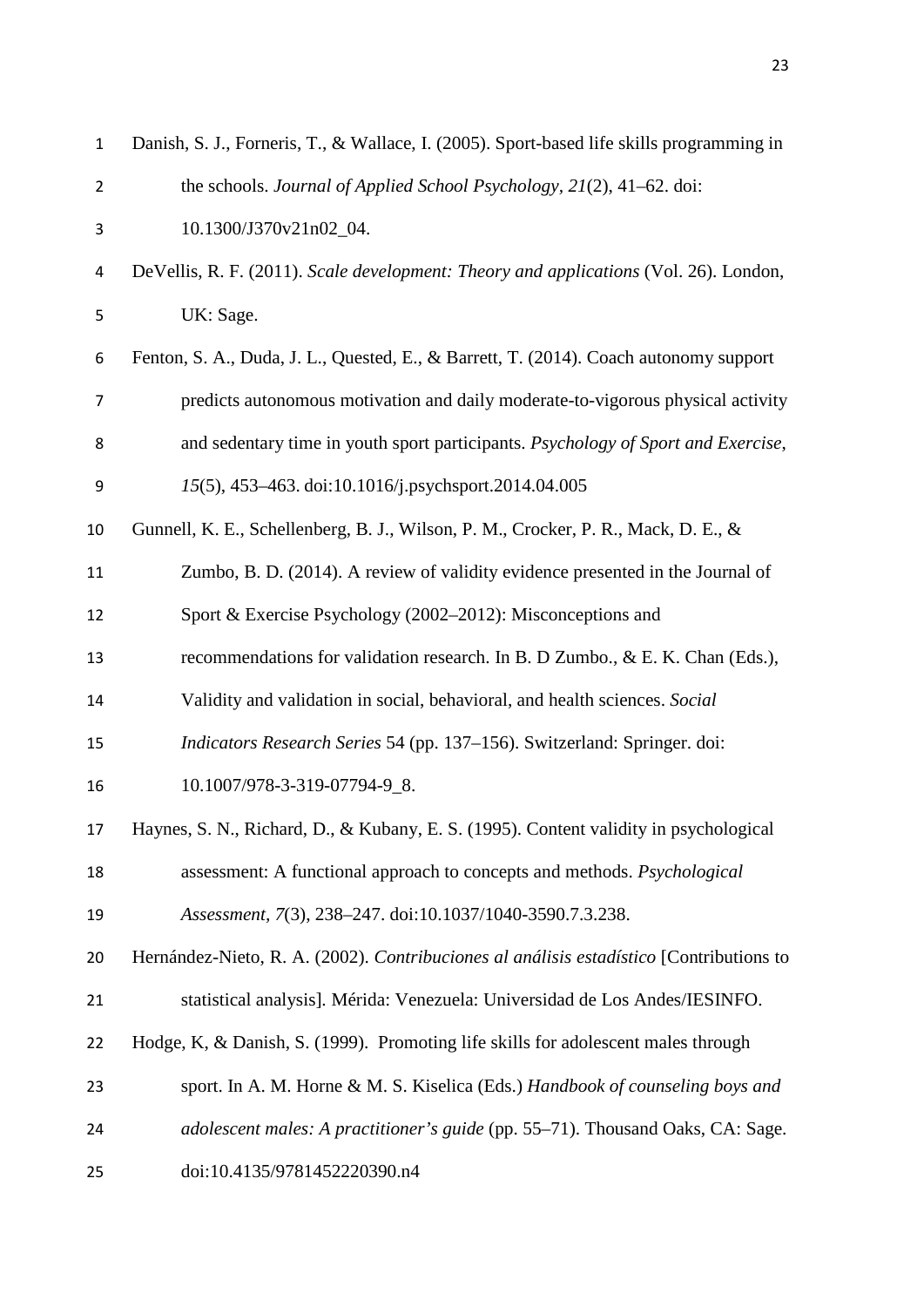| $\mathbf{1}$   | Danish, S. J., Forneris, T., & Wallace, I. (2005). Sport-based life skills programming in |
|----------------|-------------------------------------------------------------------------------------------|
| $\overline{2}$ | the schools. Journal of Applied School Psychology, 21(2), 41–62. doi:                     |
| 3              | 10.1300/J370v21n02_04.                                                                    |
| 4              | DeVellis, R. F. (2011). Scale development: Theory and applications (Vol. 26). London,     |
| 5              | UK: Sage.                                                                                 |
| 6              | Fenton, S. A., Duda, J. L., Quested, E., & Barrett, T. (2014). Coach autonomy support     |
| $\overline{7}$ | predicts autonomous motivation and daily moderate-to-vigorous physical activity           |
| 8              | and sedentary time in youth sport participants. Psychology of Sport and Exercise,         |
| 9              | 15(5), 453-463. doi:10.1016/j.psychsport.2014.04.005                                      |
| 10             | Gunnell, K. E., Schellenberg, B. J., Wilson, P. M., Crocker, P. R., Mack, D. E., &        |
| 11             | Zumbo, B. D. (2014). A review of validity evidence presented in the Journal of            |
| 12             | Sport & Exercise Psychology (2002–2012): Misconceptions and                               |
| 13             | recommendations for validation research. In B. D Zumbo., & E. K. Chan (Eds.),             |
| 14             | Validity and validation in social, behavioral, and health sciences. Social                |
| 15             | Indicators Research Series 54 (pp. 137-156). Switzerland: Springer. doi:                  |
| 16             | 10.1007/978-3-319-07794-9_8.                                                              |
| 17             | Haynes, S. N., Richard, D., & Kubany, E. S. (1995). Content validity in psychological     |
| 18             | assessment: A functional approach to concepts and methods. <i>Psychological</i>           |
| 19             | Assessment, 7(3), 238-247. doi:10.1037/1040-3590.7.3.238.                                 |
| 20             | Hernández-Nieto, R. A. (2002). Contribuciones al análisis estadístico [Contributions to   |
| 21             | statistical analysis]. Mérida: Venezuela: Universidad de Los Andes/IESINFO.               |
| 22             | Hodge, K, & Danish, S. (1999). Promoting life skills for adolescent males through         |
| 23             | sport. In A. M. Horne & M. S. Kiselica (Eds.) Handbook of counseling boys and             |
| 24             | adolescent males: A practitioner's guide (pp. 55–71). Thousand Oaks, CA: Sage.            |
| 25             | doi:10.4135/9781452220390.n4                                                              |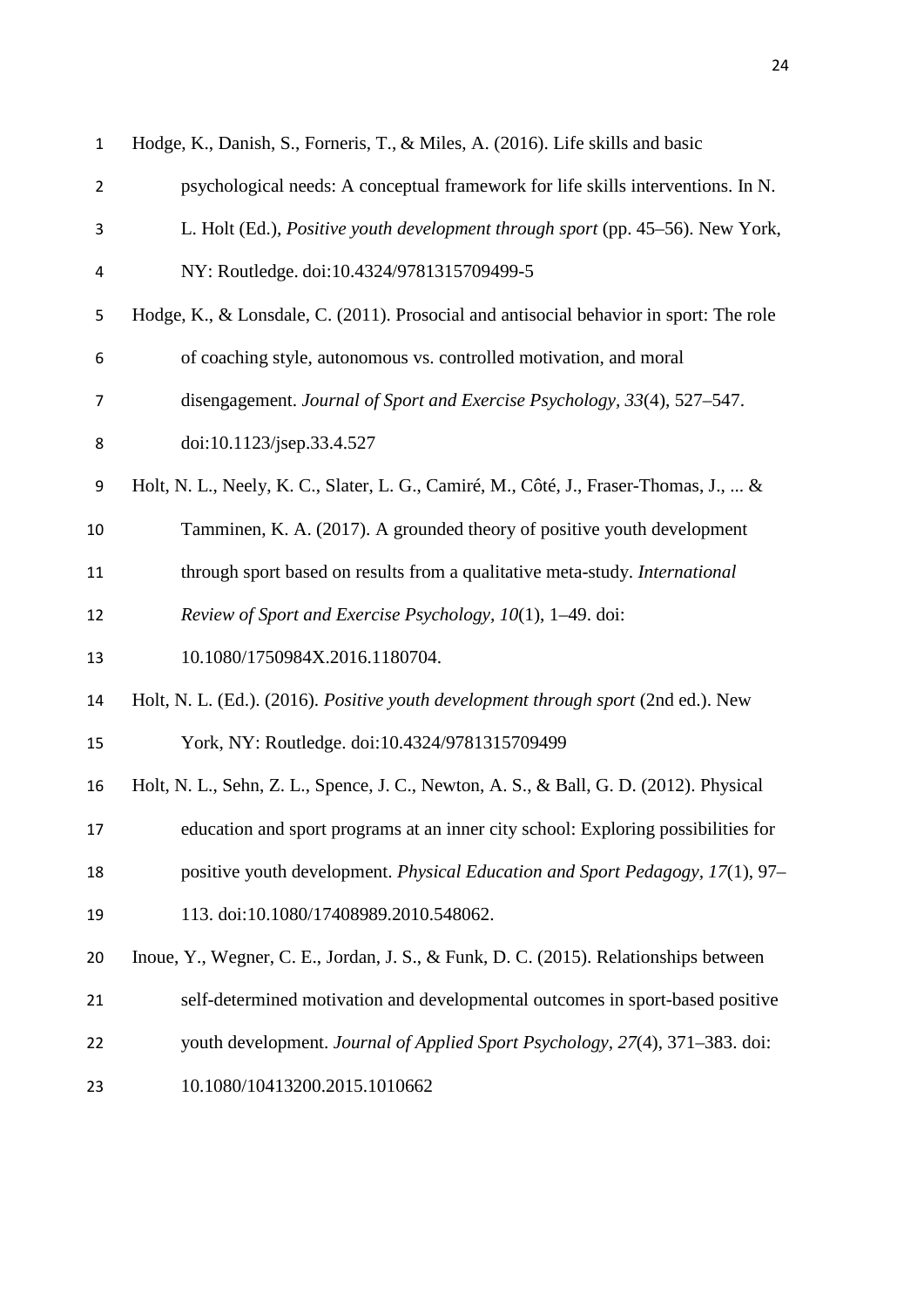| $\mathbf{1}$   | Hodge, K., Danish, S., Forneris, T., & Miles, A. (2016). Life skills and basic         |
|----------------|----------------------------------------------------------------------------------------|
| $\overline{2}$ | psychological needs: A conceptual framework for life skills interventions. In N.       |
| 3              | L. Holt (Ed.), <i>Positive youth development through sport</i> (pp. 45–56). New York,  |
| 4              | NY: Routledge. doi:10.4324/9781315709499-5                                             |
| 5              | Hodge, K., & Lonsdale, C. (2011). Prosocial and antisocial behavior in sport: The role |
| 6              | of coaching style, autonomous vs. controlled motivation, and moral                     |
| 7              | disengagement. Journal of Sport and Exercise Psychology, 33(4), 527–547.               |
| 8              | doi:10.1123/jsep.33.4.527                                                              |
| 9              | Holt, N. L., Neely, K. C., Slater, L. G., Camiré, M., Côté, J., Fraser-Thomas, J.,  &  |
| 10             | Tamminen, K. A. (2017). A grounded theory of positive youth development                |
| 11             | through sport based on results from a qualitative meta-study. International            |
| 12             | Review of Sport and Exercise Psychology, 10(1), 1–49. doi:                             |
| 13             | 10.1080/1750984X.2016.1180704.                                                         |
| 14             | Holt, N. L. (Ed.). (2016). Positive youth development through sport (2nd ed.). New     |
| 15             | York, NY: Routledge. doi:10.4324/9781315709499                                         |
| 16             | Holt, N. L., Sehn, Z. L., Spence, J. C., Newton, A. S., & Ball, G. D. (2012). Physical |
| 17             | education and sport programs at an inner city school: Exploring possibilities for      |
| 18             | positive youth development. Physical Education and Sport Pedagogy, 17(1), 97–          |
| 19             | 113. doi:10.1080/17408989.2010.548062.                                                 |
| 20             | Inoue, Y., Wegner, C. E., Jordan, J. S., & Funk, D. C. (2015). Relationships between   |
| 21             | self-determined motivation and developmental outcomes in sport-based positive          |
| 22             | youth development. Journal of Applied Sport Psychology, 27(4), 371-383. doi:           |
| 23             | 10.1080/10413200.2015.1010662                                                          |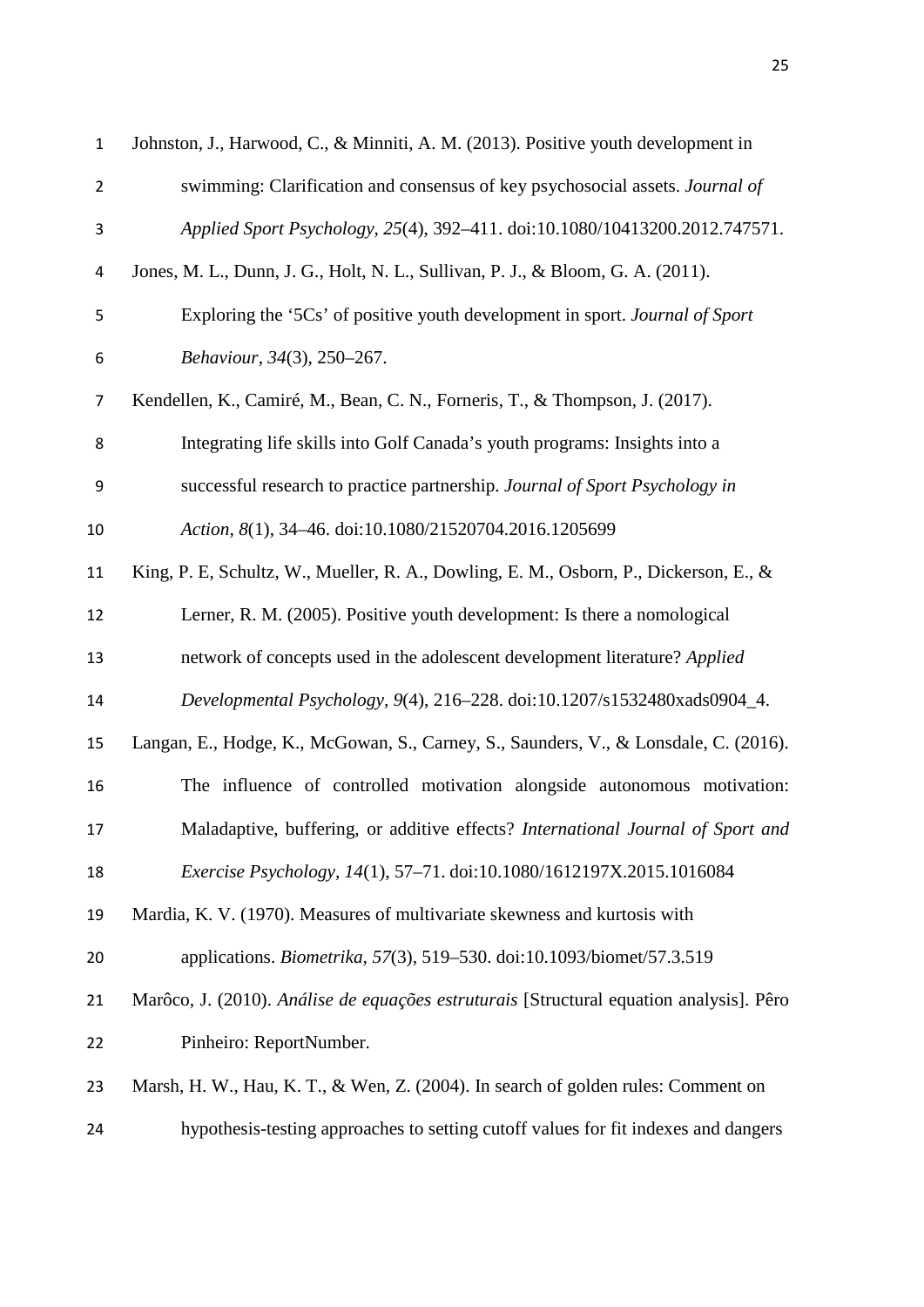| $\mathbf{1}$   | Johnston, J., Harwood, C., & Minniti, A. M. (2013). Positive youth development in       |
|----------------|-----------------------------------------------------------------------------------------|
| $\overline{2}$ | swimming: Clarification and consensus of key psychosocial assets. Journal of            |
| 3              | Applied Sport Psychology, 25(4), 392-411. doi:10.1080/10413200.2012.747571.             |
| 4              | Jones, M. L., Dunn, J. G., Holt, N. L., Sullivan, P. J., & Bloom, G. A. (2011).         |
| 5              | Exploring the '5Cs' of positive youth development in sport. Journal of Sport            |
| 6              | Behaviour, 34(3), 250-267.                                                              |
| $\overline{7}$ | Kendellen, K., Camiré, M., Bean, C. N., Forneris, T., & Thompson, J. (2017).            |
| 8              | Integrating life skills into Golf Canada's youth programs: Insights into a              |
| 9              | successful research to practice partnership. Journal of Sport Psychology in             |
| $10\,$         | Action, 8(1), 34-46. doi:10.1080/21520704.2016.1205699                                  |
| 11             | King, P. E, Schultz, W., Mueller, R. A., Dowling, E. M., Osborn, P., Dickerson, E., &   |
| 12             | Lerner, R. M. (2005). Positive youth development: Is there a nomological                |
| 13             | network of concepts used in the adolescent development literature? Applied              |
| 14             | Developmental Psychology, 9(4), 216-228. doi:10.1207/s1532480xads0904_4.                |
| 15             | Langan, E., Hodge, K., McGowan, S., Carney, S., Saunders, V., & Lonsdale, C. (2016).    |
| 16             | The influence of controlled motivation alongside autonomous motivation:                 |
| 17             | Maladaptive, buffering, or additive effects? International Journal of Sport and         |
| 18             | Exercise Psychology, 14(1), 57-71. doi:10.1080/1612197X.2015.1016084                    |
| 19             | Mardia, K. V. (1970). Measures of multivariate skewness and kurtosis with               |
| 20             | applications. <i>Biometrika</i> , 57(3), 519–530. doi:10.1093/biomet/57.3.519           |
| 21             | Marôco, J. (2010). Análise de equações estruturais [Structural equation analysis]. Pêro |
| 22             | Pinheiro: ReportNumber.                                                                 |
| 23             | Marsh, H. W., Hau, K. T., & Wen, Z. (2004). In search of golden rules: Comment on       |
| 24             | hypothesis-testing approaches to setting cutoff values for fit indexes and dangers      |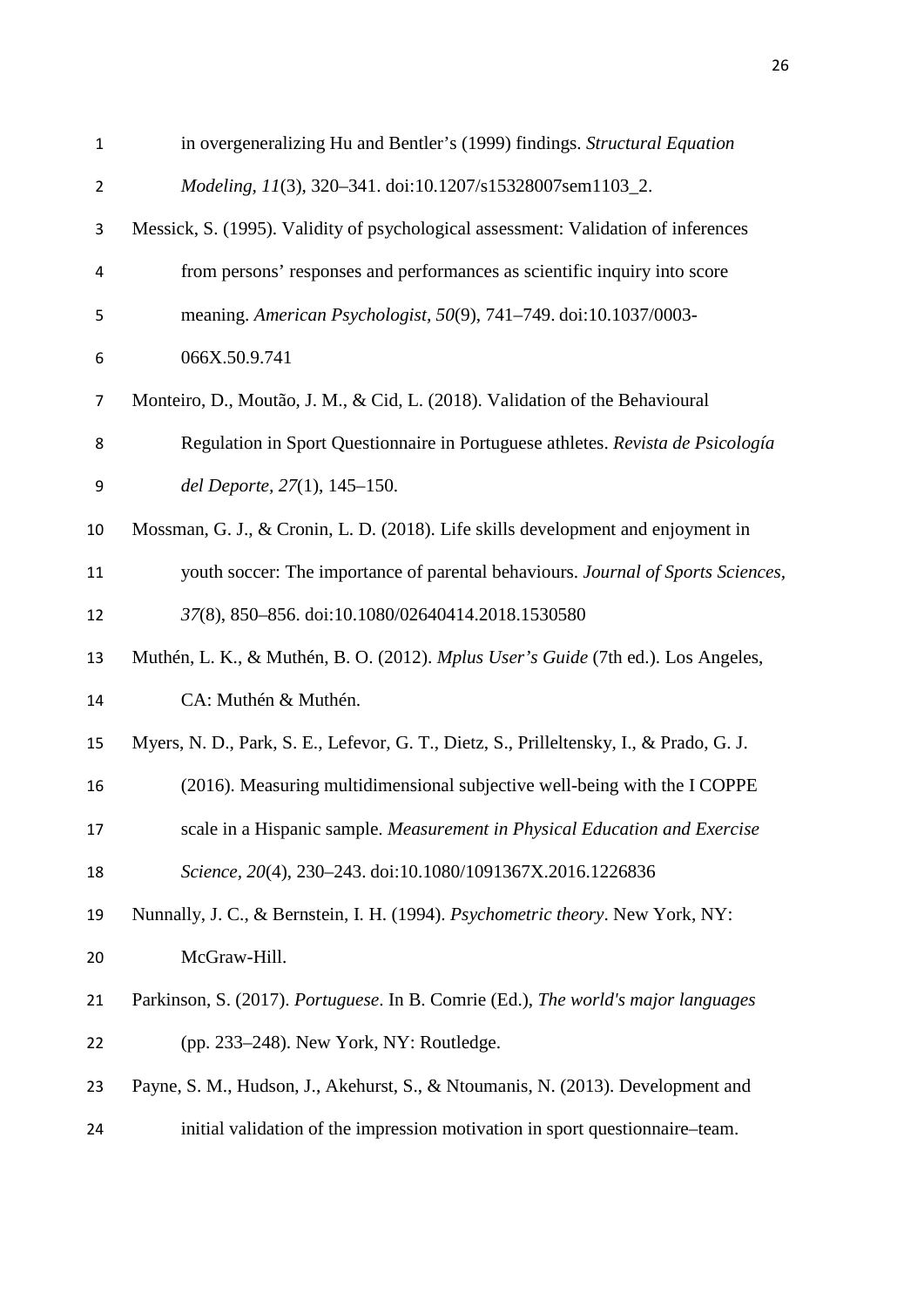| $\mathbf 1$    | in overgeneralizing Hu and Bentler's (1999) findings. Structural Equation               |
|----------------|-----------------------------------------------------------------------------------------|
| $\overline{2}$ | Modeling, 11(3), 320-341. doi:10.1207/s15328007sem1103_2.                               |
| 3              | Messick, S. (1995). Validity of psychological assessment: Validation of inferences      |
| 4              | from persons' responses and performances as scientific inquiry into score               |
| 5              | meaning. American Psychologist, 50(9), 741-749. doi:10.1037/0003-                       |
| 6              | 066X.50.9.741                                                                           |
| $\overline{7}$ | Monteiro, D., Moutão, J. M., & Cid, L. (2018). Validation of the Behavioural            |
| 8              | Regulation in Sport Questionnaire in Portuguese athletes. Revista de Psicología         |
| 9              | del Deporte, 27(1), 145-150.                                                            |
| 10             | Mossman, G. J., & Cronin, L. D. (2018). Life skills development and enjoyment in        |
| 11             | youth soccer: The importance of parental behaviours. Journal of Sports Sciences,        |
| 12             | 37(8), 850-856. doi:10.1080/02640414.2018.1530580                                       |
| 13             | Muthén, L. K., & Muthén, B. O. (2012). Mplus User's Guide (7th ed.). Los Angeles,       |
| 14             | CA: Muthén & Muthén.                                                                    |
| 15             | Myers, N. D., Park, S. E., Lefevor, G. T., Dietz, S., Prilleltensky, I., & Prado, G. J. |
| 16             | (2016). Measuring multidimensional subjective well-being with the I COPPE               |
| 17             | scale in a Hispanic sample. Measurement in Physical Education and Exercise              |
| 18             | Science, 20(4), 230-243. doi:10.1080/1091367X.2016.1226836                              |
| 19             | Nunnally, J. C., & Bernstein, I. H. (1994). Psychometric theory. New York, NY:          |
| 20             | McGraw-Hill.                                                                            |
| 21             | Parkinson, S. (2017). Portuguese. In B. Comrie (Ed.), The world's major languages       |
| 22             | (pp. 233–248). New York, NY: Routledge.                                                 |
| 23             | Payne, S. M., Hudson, J., Akehurst, S., & Ntoumanis, N. (2013). Development and         |
| 24             | initial validation of the impression motivation in sport questionnaire-team.            |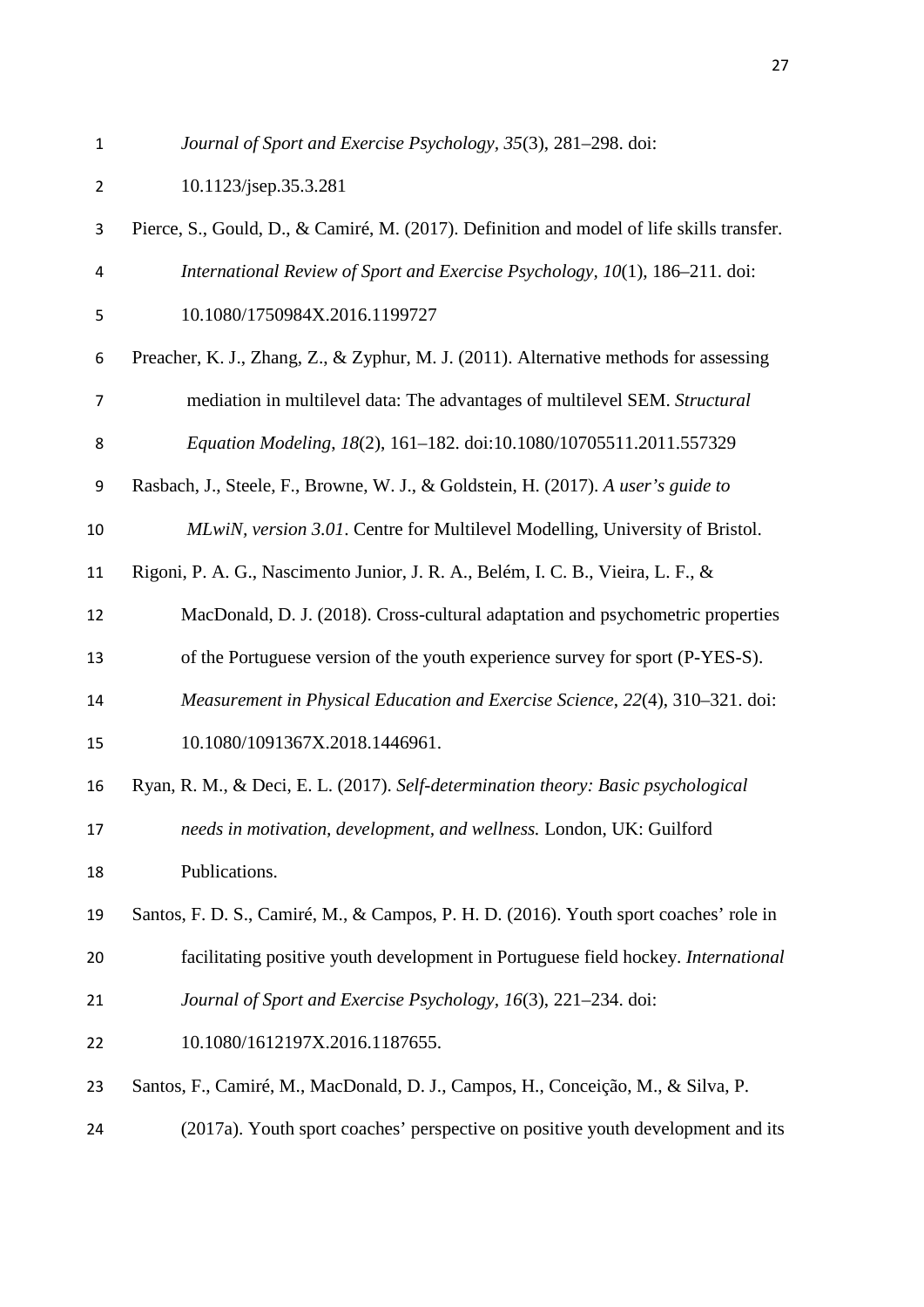*Journal of Sport and Exercise Psychology, 35*(3), 281–298. doi:

| $\overline{2}$ | 10.1123/jsep.35.3.281                                                                     |
|----------------|-------------------------------------------------------------------------------------------|
| 3              | Pierce, S., Gould, D., & Camiré, M. (2017). Definition and model of life skills transfer. |
| 4              | International Review of Sport and Exercise Psychology, 10(1), 186–211. doi:               |
| 5              | 10.1080/1750984X.2016.1199727                                                             |
| 6              | Preacher, K. J., Zhang, Z., & Zyphur, M. J. (2011). Alternative methods for assessing     |
| 7              | mediation in multilevel data: The advantages of multilevel SEM. Structural                |
| 8              | Equation Modeling, 18(2), 161-182. doi:10.1080/10705511.2011.557329                       |
| 9              | Rasbach, J., Steele, F., Browne, W. J., & Goldstein, H. (2017). A user's guide to         |
| 10             | MLwiN, version 3.01. Centre for Multilevel Modelling, University of Bristol.              |
| 11             | Rigoni, P. A. G., Nascimento Junior, J. R. A., Belém, I. C. B., Vieira, L. F., &          |
| 12             | MacDonald, D. J. (2018). Cross-cultural adaptation and psychometric properties            |
| 13             | of the Portuguese version of the youth experience survey for sport (P-YES-S).             |
| 14             | Measurement in Physical Education and Exercise Science, 22(4), 310–321. doi:              |
| 15             | 10.1080/1091367X.2018.1446961.                                                            |
| 16             | Ryan, R. M., & Deci, E. L. (2017). Self-determination theory: Basic psychological         |
| 17             | needs in motivation, development, and wellness. London, UK: Guilford                      |
| 18             | Publications.                                                                             |
| 19             | Santos, F. D. S., Camiré, M., & Campos, P. H. D. (2016). Youth sport coaches' role in     |
| 20             | facilitating positive youth development in Portuguese field hockey. International         |
| 21             | Journal of Sport and Exercise Psychology, 16(3), 221-234. doi:                            |
| 22             | 10.1080/1612197X.2016.1187655.                                                            |
| 23             | Santos, F., Camiré, M., MacDonald, D. J., Campos, H., Conceição, M., & Silva, P.          |
| 24             | (2017a). Youth sport coaches' perspective on positive youth development and its           |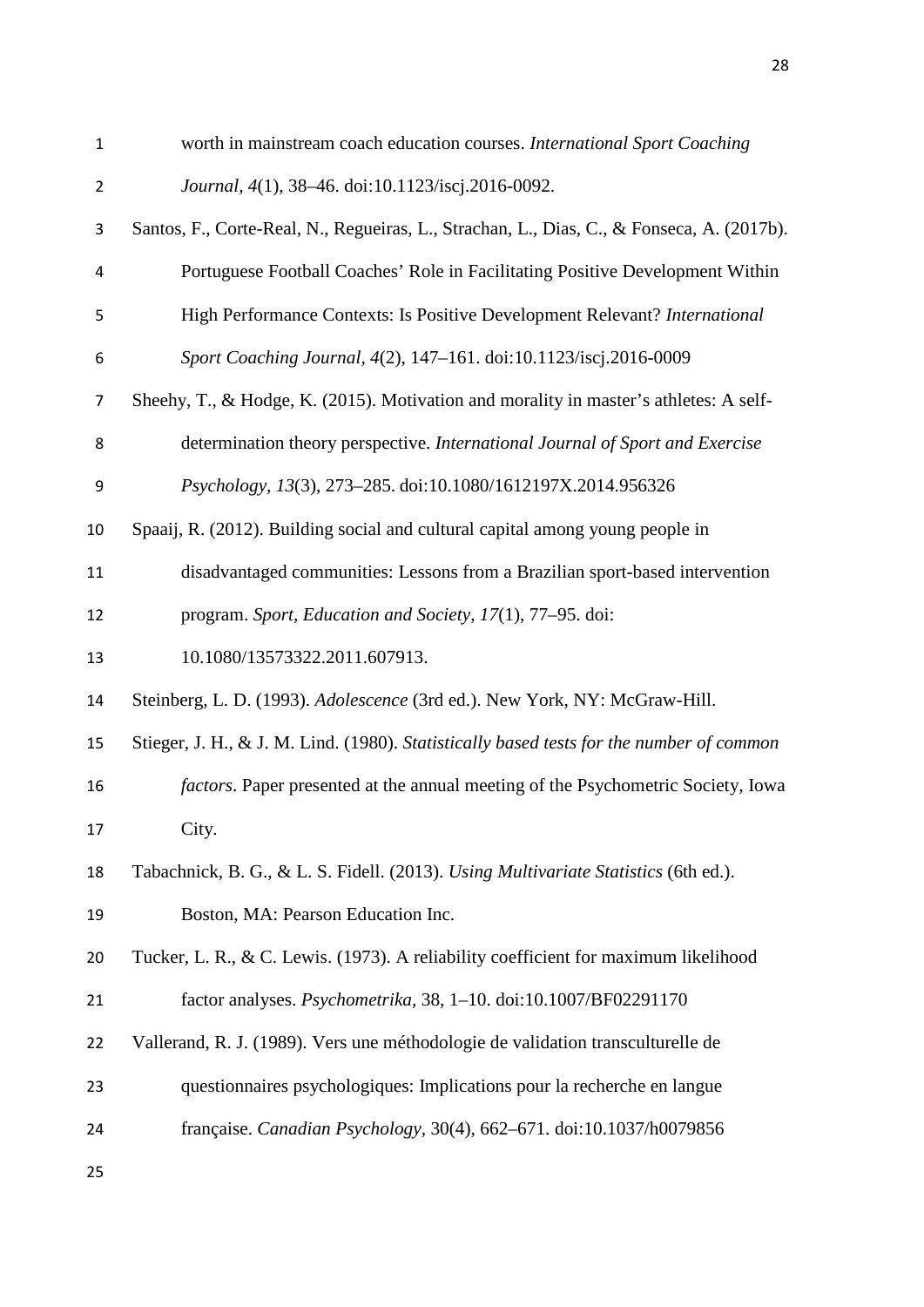| $\mathbf{1}$   | worth in mainstream coach education courses. International Sport Coaching                 |
|----------------|-------------------------------------------------------------------------------------------|
| $\overline{2}$ | Journal, 4(1), 38-46. doi:10.1123/iscj.2016-0092.                                         |
| 3              | Santos, F., Corte-Real, N., Regueiras, L., Strachan, L., Dias, C., & Fonseca, A. (2017b). |
| 4              | Portuguese Football Coaches' Role in Facilitating Positive Development Within             |
| 5              | High Performance Contexts: Is Positive Development Relevant? International                |
| 6              | Sport Coaching Journal, 4(2), 147-161. doi:10.1123/iscj.2016-0009                         |
| $\overline{7}$ | Sheehy, T., & Hodge, K. (2015). Motivation and morality in master's athletes: A self-     |
| 8              | determination theory perspective. International Journal of Sport and Exercise             |
| 9              | Psychology, 13(3), 273-285. doi:10.1080/1612197X.2014.956326                              |
| 10             | Spaaij, R. (2012). Building social and cultural capital among young people in             |
| 11             | disadvantaged communities: Lessons from a Brazilian sport-based intervention              |
| 12             | program. Sport, Education and Society, 17(1), 77-95. doi:                                 |
| 13             | 10.1080/13573322.2011.607913.                                                             |
| 14             | Steinberg, L. D. (1993). Adolescence (3rd ed.). New York, NY: McGraw-Hill.                |
| 15             | Stieger, J. H., & J. M. Lind. (1980). Statistically based tests for the number of common  |
| 16             | factors. Paper presented at the annual meeting of the Psychometric Society, Iowa          |
| 17             | City.                                                                                     |
| 18             | Tabachnick, B. G., & L. S. Fidell. (2013). Using Multivariate Statistics (6th ed.).       |
| 19             | Boston, MA: Pearson Education Inc.                                                        |
| 20             | Tucker, L. R., & C. Lewis. (1973). A reliability coefficient for maximum likelihood       |
| 21             | factor analyses. Psychometrika, 38, 1-10. doi:10.1007/BF02291170                          |
| 22             | Vallerand, R. J. (1989). Vers une méthodologie de validation transculturelle de           |
| 23             | questionnaires psychologiques: Implications pour la recherche en langue                   |
| 24             | française. Canadian Psychology, 30(4), 662–671. doi:10.1037/h0079856                      |
| 25             |                                                                                           |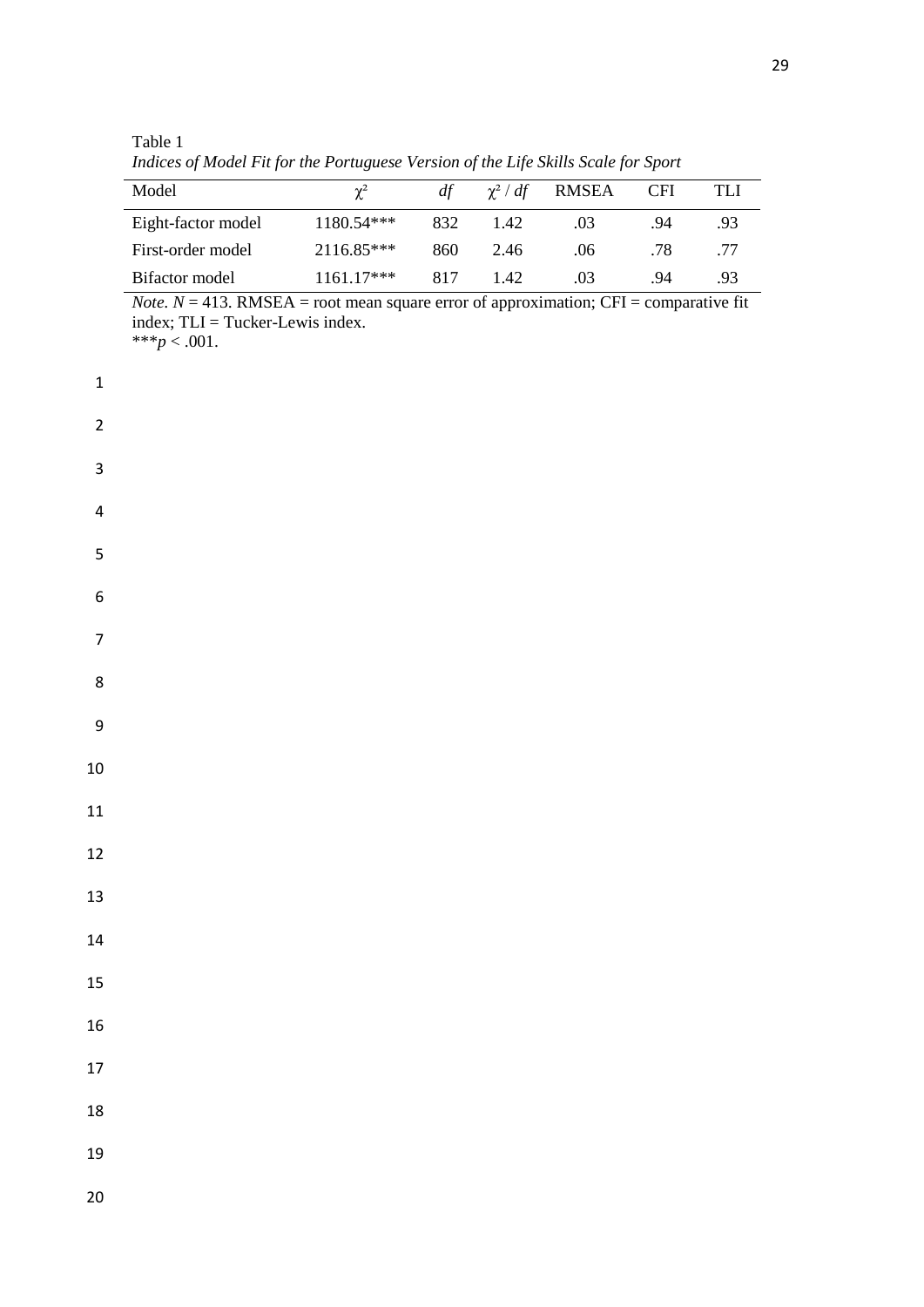Table 1 *Indices of Model Fit for the Portuguese Version of the Life Skills Scale for Sport*

| Model              | $\chi^2$     | df  | $\chi^2$ / df | RMSEA | <b>CFI</b> | TLI |
|--------------------|--------------|-----|---------------|-------|------------|-----|
| Eight-factor model | $1180.54***$ | 832 | 1.42          | .03   | 94         | .93 |
| First-order model  | 2116.85***   | 860 | 2.46          | .06   | .78        | .77 |
| Bifactor model     | $1161.17***$ | 817 | 142           | .03   | 94         | .93 |

*Note.*  $N = 413$ . RMSEA = root mean square error of approximation; CFI = comparative fit index; TLI = Tucker-Lewis index. \*\*\* $p < .001$ .

| $\mathbf{1}$            |  |  |
|-------------------------|--|--|
| $\overline{\mathbf{c}}$ |  |  |
| 3                       |  |  |
| $\overline{\mathbf{r}}$ |  |  |
| 5                       |  |  |
| 6                       |  |  |
| $\overline{7}$          |  |  |
| 8                       |  |  |
| 9                       |  |  |
| 10                      |  |  |
| 11                      |  |  |
| 12                      |  |  |
| 13                      |  |  |
| 14                      |  |  |
| 15                      |  |  |
| 16                      |  |  |
| 17                      |  |  |
| 18                      |  |  |
| 19                      |  |  |
| 20                      |  |  |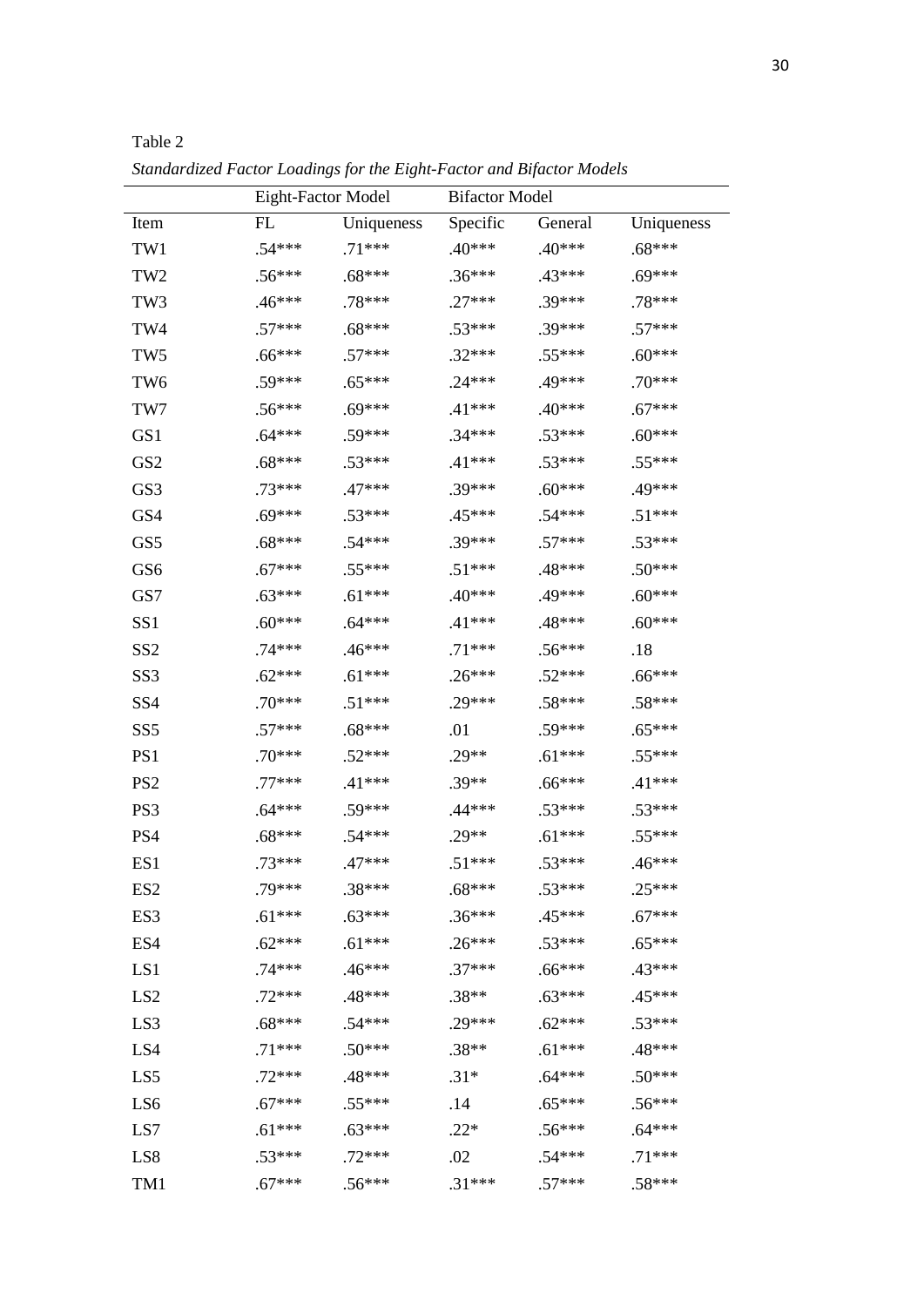|                 | Eight-Factor Model |            | <b>Bifactor Model</b> |          |            |
|-----------------|--------------------|------------|-----------------------|----------|------------|
| Item            | FL                 | Uniqueness | Specific              | General  | Uniqueness |
| TW1             | .54***             | $.71***$   | $.40***$              | $.40***$ | $.68***$   |
| TW <sub>2</sub> | $.56***$           | $.68***$   | $.36***$              | $.43***$ | $.69***$   |
| TW <sub>3</sub> | $.46***$           | .78***     | $.27***$              | .39***   | $.78***$   |
| TW4             | $.57***$           | $.68***$   | $.53***$              | $.39***$ | $.57***$   |
| TW <sub>5</sub> | $.66***$           | $.57***$   | $.32***$              | $.55***$ | $.60***$   |
| TW <sub>6</sub> | $.59***$           | $.65***$   | $.24***$              | .49***   | $.70***$   |
| TW7             | $.56***$           | $.69***$   | $.41***$              | $.40***$ | $.67***$   |
| GS1             | .64***             | $.59***$   | $.34***$              | $.53***$ | $.60***$   |
| GS <sub>2</sub> | $.68***$           | $.53***$   | $.41***$              | $.53***$ | $.55***$   |
| GS3             | $.73***$           | $.47***$   | .39***                | $.60***$ | .49***     |
| GS4             | $.69***$           | $.53***$   | .45***                | $.54***$ | $.51***$   |
| GS5             | $.68***$           | $.54***$   | $.39***$              | $.57***$ | $.53***$   |
| GS6             | $.67***$           | $.55***$   | $.51***$              | $.48***$ | $.50***$   |
| GS7             | $.63***$           | $.61***$   | $.40***$              | .49***   | $.60***$   |
| SS <sub>1</sub> | $.60***$           | $.64***$   | $.41***$              | $.48***$ | $.60***$   |
| SS <sub>2</sub> | .74***             | $.46***$   | $.71***$              | $.56***$ | .18        |
| SS <sub>3</sub> | $.62***$           | $.61***$   | $.26***$              | $.52***$ | $.66***$   |
| SS <sub>4</sub> | $.70***$           | $.51***$   | $.29***$              | $.58***$ | $.58***$   |
| SS <sub>5</sub> | $.57***$           | $.68***$   | .01                   | .59***   | $.65***$   |
| PS1             | $.70***$           | $.52***$   | $.29**$               | $.61***$ | $.55***$   |
| PS <sub>2</sub> | $.77***$           | $.41***$   | $.39**$               | $.66***$ | $.41***$   |
| PS3             | .64***             | $.59***$   | .44***                | $.53***$ | $.53***$   |
| PS4             | $.68***$           | $.54***$   | $.29**$               | $.61***$ | .55***     |
| ES1             | $.73***$           | $.47***$   | $.51***$              | $.53***$ | $.46***$   |
| ES <sub>2</sub> | .79***             | .38***     | $.68***$              | $.53***$ | $.25***$   |
| ES3             | $.61***$           | $.63***$   | $.36***$              | $.45***$ | $.67***$   |
| ES4             | $.62***$           | $.61***$   | $.26***$              | $.53***$ | $.65***$   |
| LS1             | $.74***$           | $.46***$   | $.37***$              | $.66***$ | .43***     |
| LS <sub>2</sub> | $.72***$           | .48***     | $.38**$               | $.63***$ | $.45***$   |
| LS3             | $.68***$           | $.54***$   | $.29***$              | $.62***$ | $.53***$   |
| LS4             | $.71***$           | $.50***$   | $.38**$               | $.61***$ | .48***     |
| LS5             | $.72***$           | .48***     | $.31*$                | $.64***$ | $.50***$   |
| LS6             | $.67***$           | $.55***$   | .14                   | $.65***$ | $.56***$   |
| LS7             | $.61***$           | $.63***$   | $.22*$                | $.56***$ | $.64***$   |
| LS8             | $.53***$           | $.72***$   | .02                   | $.54***$ | $.71***$   |
| TM1             | $.67***$           | $.56***$   | $.31***$              | $.57***$ | $.58***$   |

Table 2 *Standardized Factor Loadings for the Eight-Factor and Bifactor Models*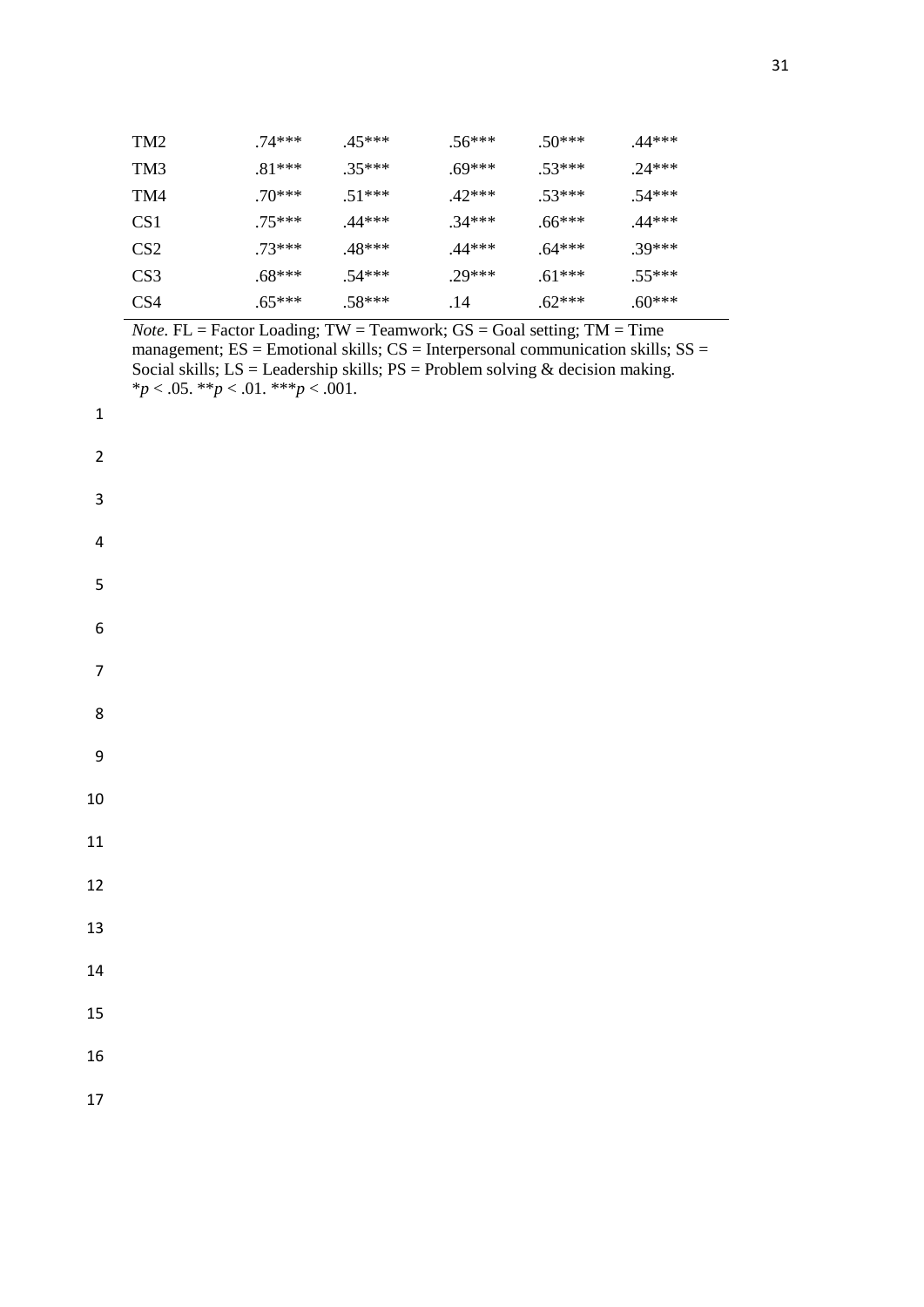| TM <sub>2</sub> | $.74***$ | $45***$  | $.56***$ | $.50***$ | $.44***$ |
|-----------------|----------|----------|----------|----------|----------|
| TM3             | $.81***$ | $.35***$ | $.69***$ | $.53***$ | $24***$  |
| TM4             | $.70***$ | $.51***$ | $.42***$ | $.53***$ | $.54***$ |
| CS1             | $.75***$ | $.44***$ | $.34***$ | $.66***$ | $.44***$ |
| CS <sub>2</sub> | $.73***$ | .48***   | $.44***$ | $.64***$ | $.39***$ |
| CS <sub>3</sub> | $.68***$ | $.54***$ | $29***$  | $.61***$ | $.55***$ |
| CS4             | $.65***$ | $.58***$ | .14      | $.62***$ | $.60***$ |

*Note.* FL = Factor Loading;  $TW = Teamwork$ ;  $GS = Goal$  setting;  $TM = Time$ management;  $ES =$  Emotional skills;  $CS =$  Interpersonal communication skills;  $SS =$ Social skills;  $LS =$  Leadership skills;  $PS =$  Problem solving & decision making. \**p* < .05. \*\**p* < .01. \*\*\**p* < .001.

1

| $\overline{\mathbf{c}}$ |  |
|-------------------------|--|
| 3                       |  |
| $\overline{\mathbf{r}}$ |  |
| 5                       |  |
| 6                       |  |
| $\overline{7}$          |  |
| 8                       |  |
| 9                       |  |
| 10                      |  |
| 11                      |  |
| 12                      |  |
| 13                      |  |
| 14                      |  |
| 15                      |  |
| 16                      |  |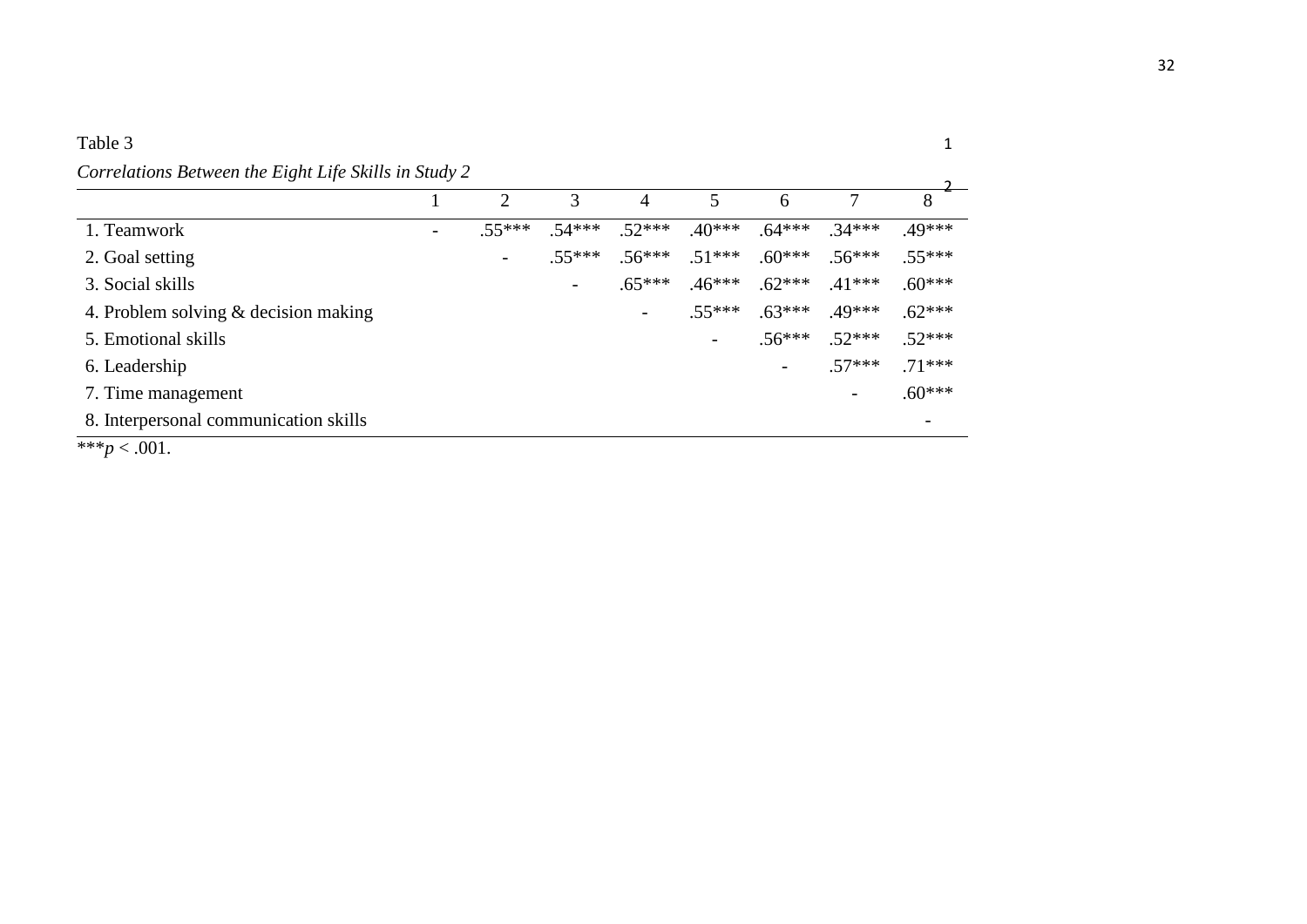# Table 3

# *Correlations Between the Eight Life Skills in Study 2*

|                                        |          |                          | 4        |                          | 6              |                          | 8        |
|----------------------------------------|----------|--------------------------|----------|--------------------------|----------------|--------------------------|----------|
| 1. Teamwork                            | $.55***$ | $.54***$                 | $.52***$ | $.40***$                 | $.64***$       | $.34***$                 | $.49***$ |
| 2. Goal setting                        |          | $.55***$                 | $.56***$ | $.51***$                 | $.60***$       | $.56***$                 | $.55***$ |
| 3. Social skills                       |          | $\overline{\phantom{a}}$ | $.65***$ | $.46***$                 | $.62***$       | $.41***$                 | $.60***$ |
| 4. Problem solving $&$ decision making |          |                          |          | $.55***$                 | $.63***$       | $.49***$                 | $.62***$ |
| 5. Emotional skills                    |          |                          |          | $\overline{\phantom{a}}$ | $.56***$       | $.52***$                 | $.52***$ |
| 6. Leadership                          |          |                          |          |                          | $\blacksquare$ | $.57***$                 | $.71***$ |
| 7. Time management                     |          |                          |          |                          |                | $\overline{\phantom{0}}$ | $.60***$ |
| 8. Interpersonal communication skills  |          |                          |          |                          |                |                          |          |

\*\*\* $p < .001$ .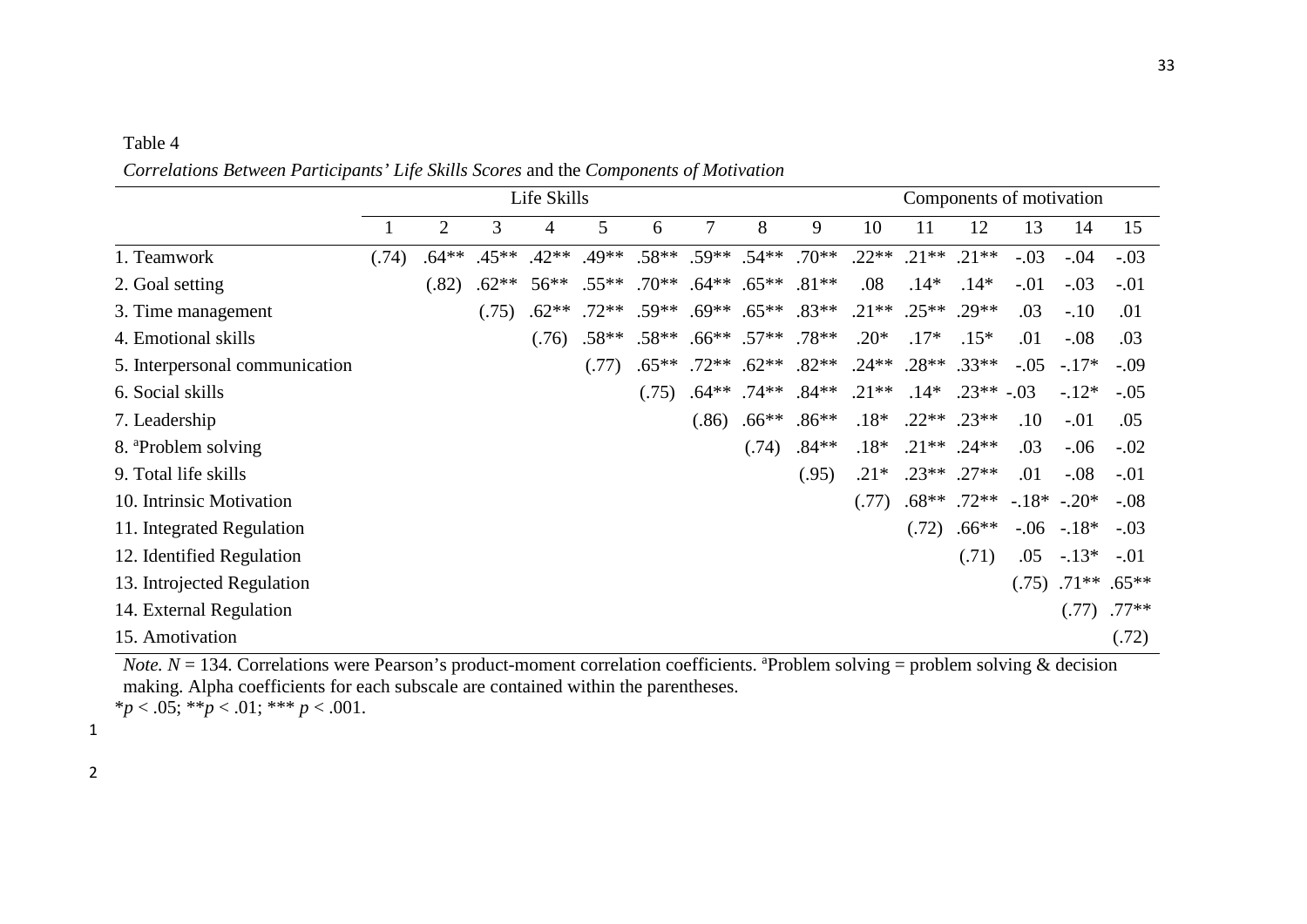## *Correlations Between Participants' Life Skills Scores* and the *Components of Motivation*

|                                 |       |                |         | Life Skills |          |          |       |                                             |                      |         |               | Components of motivation |        |                         |         |
|---------------------------------|-------|----------------|---------|-------------|----------|----------|-------|---------------------------------------------|----------------------|---------|---------------|--------------------------|--------|-------------------------|---------|
|                                 |       | $\overline{2}$ | 3       | 4           | 5        | 6        |       | 8                                           | 9                    | 10      | 11            | 12                       | 13     | 14                      | 15      |
| 1. Teamwork                     | (.74) | $.64**$        | $.45**$ | $.42**$     | $.49**$  |          |       | $.58**$ .59** .54**                         | $.70**$              | $.22**$ | $.21**$       | $.21**$                  | $-.03$ | $-.04$                  | $-.03$  |
| 2. Goal setting                 |       | (.82)          | $.62**$ | $56***$     | $.55***$ |          |       | $.70^{***}$ .64** .65**                     | $.81**$              | .08     | $.14*$        | $.14*$                   | $-.01$ | $-.03$                  | $-.01$  |
| 3. Time management              |       |                | (.75)   | $.62**$     | $.72**$  |          |       | $.59^{**}$ $.69^{**}$ $.65^{**}$ $.83^{**}$ |                      | $.21**$ | $.25***$      | $.29**$                  | .03    | $-.10$                  | .01     |
| 4. Emotional skills             |       |                |         | (.76)       | $.58**$  | $.58**$  |       | $.66***$ .57**                              | $.78**$              | $.20*$  | $.17*$        | $.15*$                   | .01    | $-.08$                  | .03     |
| 5. Interpersonal communication  |       |                |         |             | (.77)    | $.65***$ |       | $.72**$ .62**                               | $.82**$              | $.24**$ | $.28**$       | $.33**$                  | $-.05$ | $-17*$                  | $-.09$  |
| 6. Social skills                |       |                |         |             |          | (.75)    |       |                                             | $.64***$ .74** .84** | $.21**$ | $.14*$        | $.23**-.03$              |        | $-12*$                  | $-.05$  |
| 7. Leadership                   |       |                |         |             |          |          | (.86) | $.66**$                                     | $.86**$              | $.18*$  | $.22**$ .23** |                          | .10    | $-.01$                  | .05     |
| 8. <sup>a</sup> Problem solving |       |                |         |             |          |          |       | (.74)                                       | $.84**$              | $.18*$  |               | $.21***$ .24**           | .03    | $-.06$                  | $-.02$  |
| 9. Total life skills            |       |                |         |             |          |          |       |                                             | (.95)                | $.21*$  |               | $.23***$ .27**           | .01    | $-.08$                  | $-.01$  |
| 10. Intrinsic Motivation        |       |                |         |             |          |          |       |                                             |                      | (.77)   |               | $.68***$ .72**           |        | $-.18*-.20*$            | $-.08$  |
| 11. Integrated Regulation       |       |                |         |             |          |          |       |                                             |                      |         | (.72)         | $.66**$                  |        | $-.06-.18*$             | $-.03$  |
| 12. Identified Regulation       |       |                |         |             |          |          |       |                                             |                      |         |               | (.71)                    | .05    | $-13*$                  | $-.01$  |
| 13. Introjected Regulation      |       |                |         |             |          |          |       |                                             |                      |         |               |                          |        | $(.75)$ $.71**$ $.65**$ |         |
| 14. External Regulation         |       |                |         |             |          |          |       |                                             |                      |         |               |                          |        | (.77)                   | $.77**$ |
| 15. Amotivation                 |       |                |         |             |          |          |       |                                             |                      |         |               |                          |        |                         | (.72)   |

*Note.*  $N = 134$ . Correlations were Pearson's product-moment correlation coefficients. <sup>a</sup>Problem solving = problem solving & decision making. Alpha coefficients for each subscale are contained within the parentheses.  $**p* < .05; ***p* < .01; *** *p* < .001.$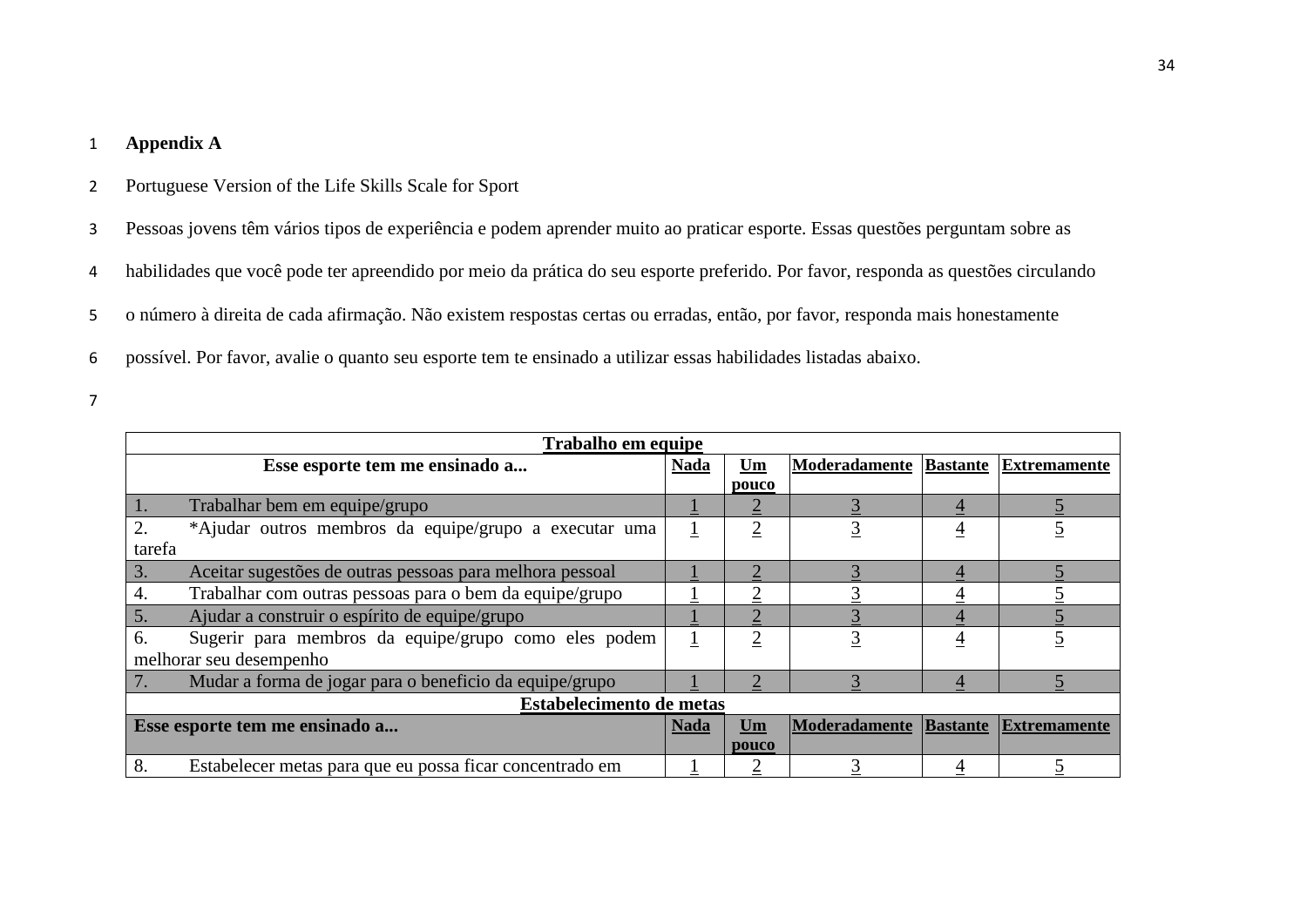## 1 **Appendix A**

- 2 Portuguese Version of the Life Skills Scale for Sport
- 3 Pessoas jovens têm vários tipos de experiência e podem aprender muito ao praticar esporte. Essas questões perguntam sobre as
- 4 habilidades que você pode ter apreendido por meio da prática do seu esporte preferido. Por favor, responda as questões circulando
- 5 o número à direita de cada afirmação. Não existem respostas certas ou erradas, então, por favor, responda mais honestamente
- 6 possível. Por favor, avalie o quanto seu esporte tem te ensinado a utilizar essas habilidades listadas abaixo.
- 7

|            | Trabalho em equipe                                       |             |       |                                     |                |                     |  |  |  |  |
|------------|----------------------------------------------------------|-------------|-------|-------------------------------------|----------------|---------------------|--|--|--|--|
|            | Esse esporte tem me ensinado a                           | <b>Nada</b> | Um    | <b>Moderadamente Bastante</b>       |                | <b>Extremamente</b> |  |  |  |  |
|            |                                                          |             | pouco |                                     |                |                     |  |  |  |  |
| $\vert 1.$ | Trabalhar bem em equipe/grupo                            |             |       |                                     | $\overline{4}$ |                     |  |  |  |  |
| 2.         | *Ajudar outros membros da equipe/grupo a executar uma    |             |       |                                     | $\overline{4}$ |                     |  |  |  |  |
| tarefa     |                                                          |             |       |                                     |                |                     |  |  |  |  |
| 3.         | Aceitar sugestões de outras pessoas para melhora pessoal |             |       |                                     | 4              |                     |  |  |  |  |
| 4.         | Trabalhar com outras pessoas para o bem da equipe/grupo  |             |       |                                     |                |                     |  |  |  |  |
| 5.         | Ajudar a construir o espírito de equipe/grupo            |             |       |                                     |                |                     |  |  |  |  |
| 6.         | Sugerir para membros da equipe/grupo como eles podem     |             |       |                                     | $\overline{4}$ |                     |  |  |  |  |
|            | melhorar seu desempenho                                  |             |       |                                     |                |                     |  |  |  |  |
| 7.         | Mudar a forma de jogar para o beneficio da equipe/grupo  |             |       |                                     |                |                     |  |  |  |  |
|            | <b>Estabelecimento de metas</b>                          |             |       |                                     |                |                     |  |  |  |  |
|            | Esse esporte tem me ensinado a                           | <b>Nada</b> | Um    | Moderadamente Bastante Extremamente |                |                     |  |  |  |  |
|            |                                                          |             | pouco |                                     |                |                     |  |  |  |  |
| 8.         | Estabelecer metas para que eu possa ficar concentrado em |             |       |                                     |                |                     |  |  |  |  |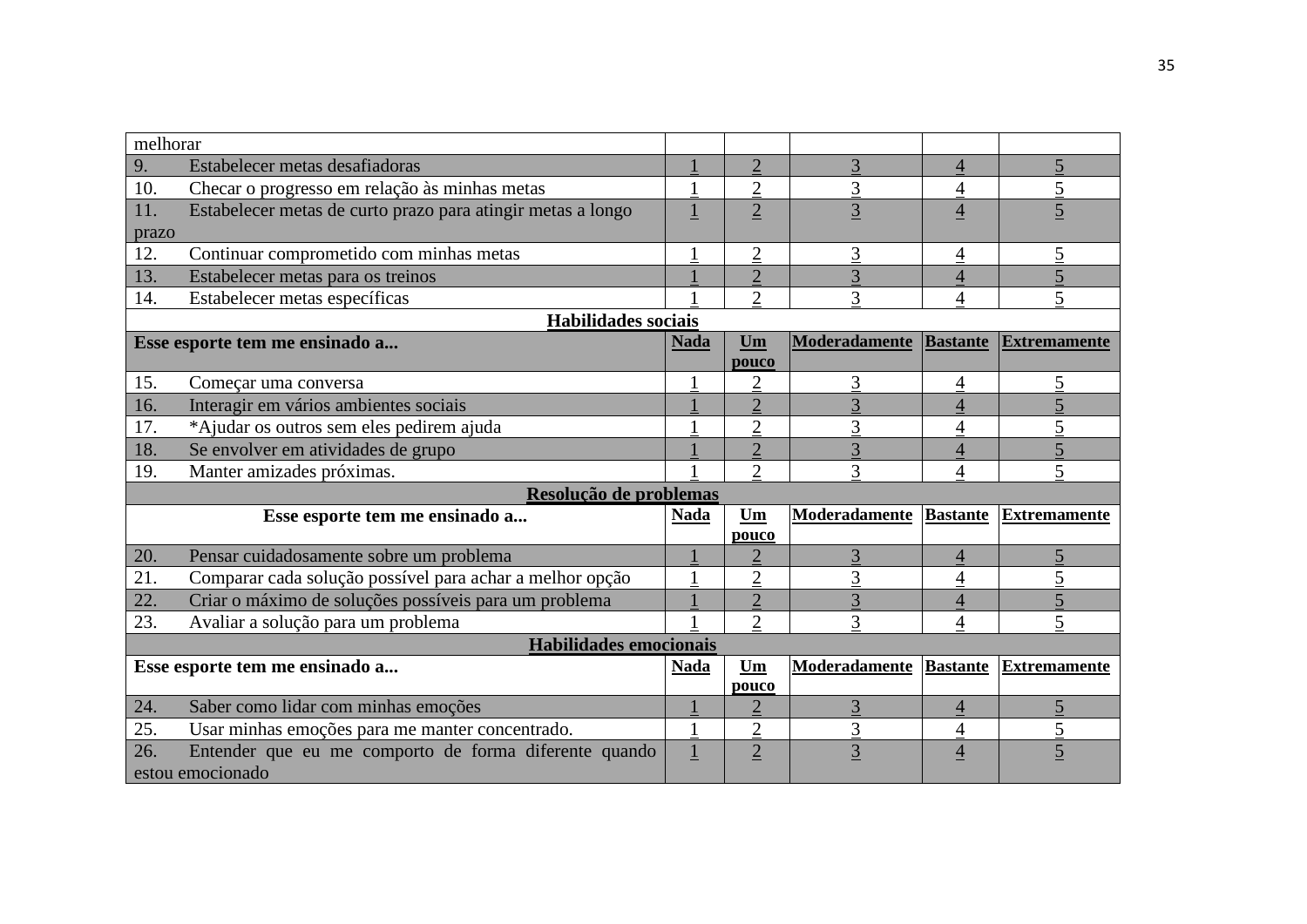| melhorar |                                                             |                         |                |                |                          |                     |
|----------|-------------------------------------------------------------|-------------------------|----------------|----------------|--------------------------|---------------------|
| 9.       | Estabelecer metas desafiadoras                              |                         | $\overline{2}$ | 3              | 4                        | $\overline{5}$      |
| 10.      | Checar o progresso em relação às minhas metas               |                         | $\overline{c}$ | 3              | $\overline{4}$           | $\overline{2}$      |
| 11.      | Estabelecer metas de curto prazo para atingir metas a longo | $\overline{\mathbf{1}}$ | $\overline{2}$ | $\overline{3}$ | $\overline{4}$           | $\overline{5}$      |
| prazo    |                                                             |                         |                |                |                          |                     |
| 12.      | Continuar comprometido com minhas metas                     |                         | $\overline{c}$ | 3              | 4                        | 5                   |
| 13.      | Estabelecer metas para os treinos                           |                         | $\overline{2}$ | $\overline{3}$ | $\overline{4}$           | 5                   |
| 14.      | Estabelecer metas específicas                               |                         | $\overline{2}$ | 3              | 4                        | 5                   |
|          | <b>Habilidades</b> sociais                                  |                         |                |                |                          |                     |
|          | Esse esporte tem me ensinado a                              | Nada                    | Um             | Moderadamente  | <b>Bastante</b>          | <b>Extremamente</b> |
|          |                                                             |                         | pouco          |                |                          |                     |
| 15.      | Começar uma conversa                                        |                         | $\overline{c}$ | 3              | 4                        | $\overline{5}$      |
| 16.      | Interagir em vários ambientes sociais                       |                         | $\overline{2}$ | 3              | $\overline{\mathcal{A}}$ | 5                   |
| 17.      | *Ajudar os outros sem eles pedirem ajuda                    |                         | $\overline{2}$ | 3              | 4                        | $\overline{5}$      |
| 18.      | Se envolver em atividades de grupo                          |                         | $\overline{2}$ | 3              | $\overline{\mathcal{A}}$ | 5                   |
| 19.      | Manter amizades próximas.                                   |                         | $\overline{2}$ | 3              | 4                        | 5                   |
|          | Resolução de problemas                                      |                         |                |                |                          |                     |
|          | Esse esporte tem me ensinado a                              | <b>Nada</b>             | Um             | Moderadamente  | <b>Bastante</b>          | <b>Extremamente</b> |
|          |                                                             |                         | pouco          |                |                          |                     |
| 20.      | Pensar cuidadosamente sobre um problema                     |                         | $\overline{2}$ | 3              | $\overline{4}$           | 5                   |
| 21.      | Comparar cada solução possível para achar a melhor opção    |                         | $\overline{2}$ | 3              | 4                        | 5                   |
| 22.      | Criar o máximo de soluções possíveis para um problema       |                         | $\overline{2}$ | 3              | $\Delta$                 | 5                   |
| 23.      | Avaliar a solução para um problema                          |                         | $\overline{2}$ | 3              | 4                        | 5                   |
|          | Habilidades emocionais                                      |                         |                |                |                          |                     |
|          | Esse esporte tem me ensinado a                              | <b>Nada</b>             | Um             | Moderadamente  | <b>Bastante</b>          | <b>Extremamente</b> |
|          |                                                             |                         | pouco          |                |                          |                     |
| 24.      | Saber como lidar com minhas emoções                         |                         | $\overline{2}$ | 3              | $\overline{4}$           | $\overline{5}$      |
| 25.      | Usar minhas emoções para me manter concentrado.             |                         | $\overline{2}$ | 3              | 4                        | $\overline{5}$      |
| 26.      | Entender que eu me comporto de forma diferente quando       |                         | $\overline{2}$ | $\overline{3}$ | $\overline{4}$           | $\overline{5}$      |
|          | estou emocionado                                            |                         |                |                |                          |                     |